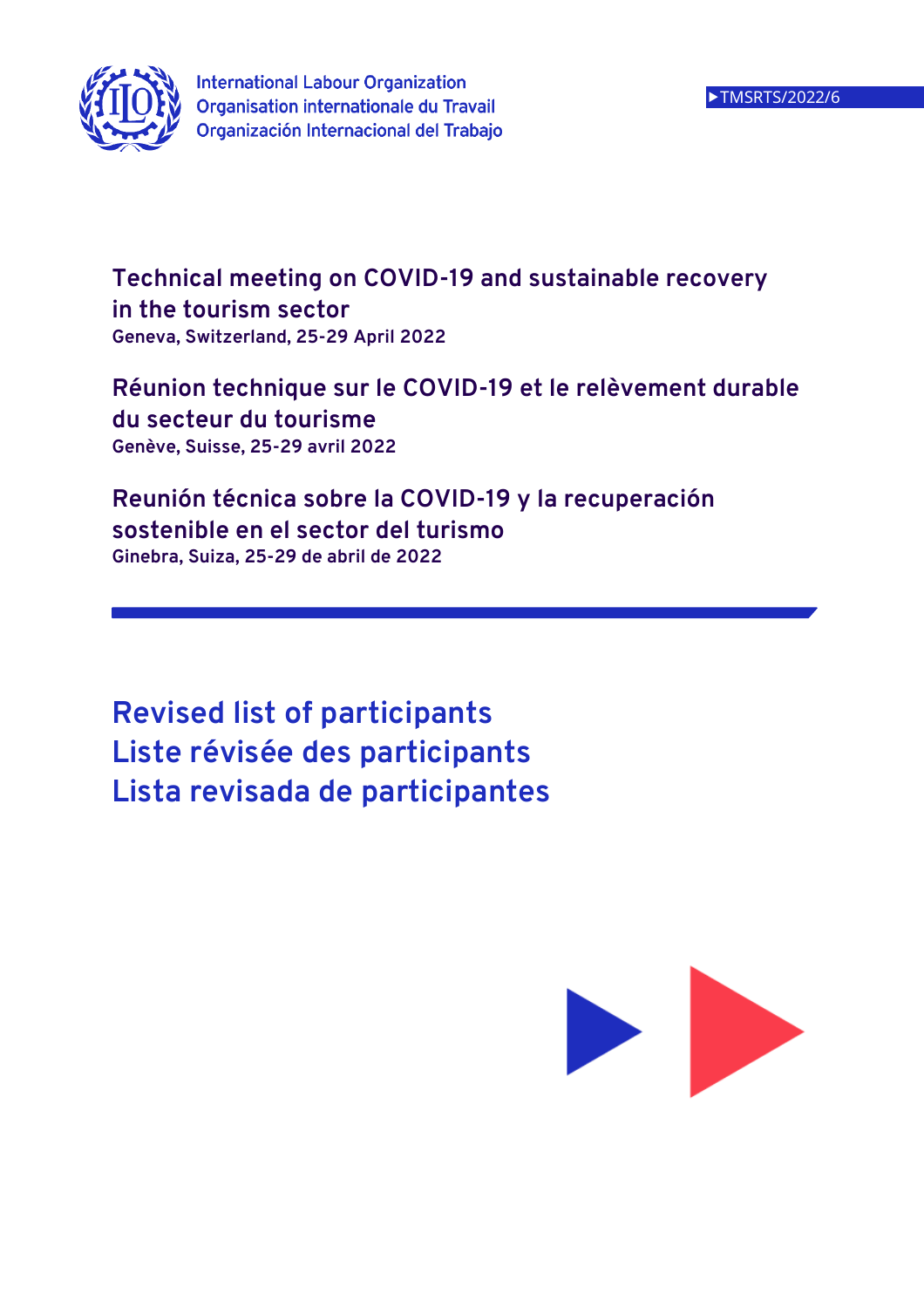

**Technical meeting on COVID-19 and sustainable recovery in the tourism sector Geneva, Switzerland, 25-29 April 2022** 

**Réunion technique sur le COVID-19 et le relèvement durable du secteur du tourisme Genève, Suisse, 25-29 avril 2022** 

**Reunión técnica sobre la COVID-19 y la recuperación sostenible en el sector del turismo Ginebra, Suiza, 25-29 de abril de 2022** 

**Revised list of participants Liste révisée des participants Lista revisada de participantes** 

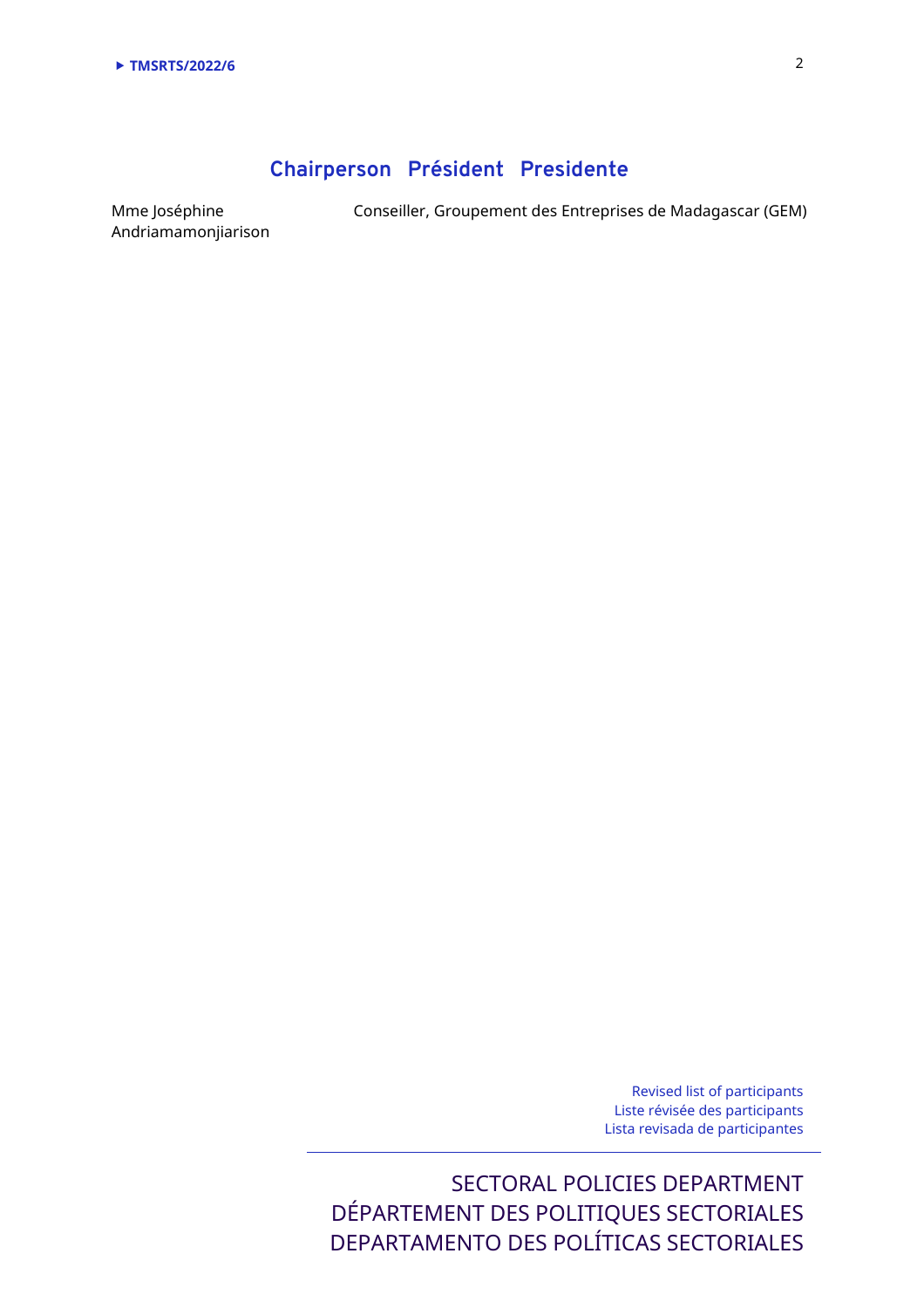# **Chairperson Président Presidente**

Mme Joséphine Andriamamonjiarison Conseiller, Groupement des Entreprises de Madagascar (GEM)

Revised list of participants Liste révisée des participants Lista revisada de participantes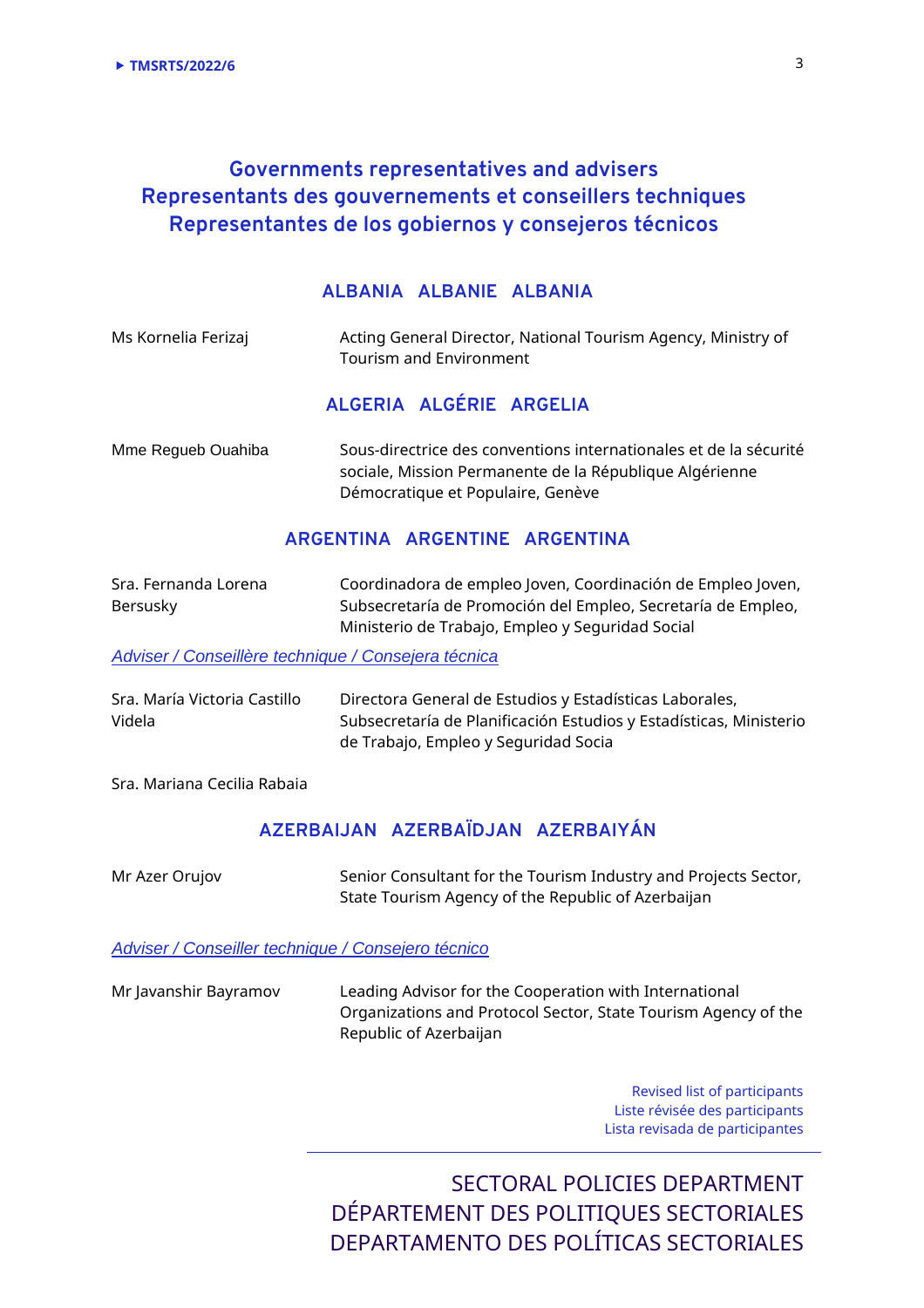# **Governments representatives and advisers Representants des gouvernements et conseillers techniques Representantes de los gobiernos y consejeros técnicos**

### **ALBANIA ALBANIE ALBANIA**

| Ms Kornelia Ferizaj | Acting General Director, National Tourism Agency, Ministry of<br><b>Tourism and Environment</b>                                                                   |
|---------------------|-------------------------------------------------------------------------------------------------------------------------------------------------------------------|
|                     | ALGERIA ALGÉRIE ARGELIA                                                                                                                                           |
| Mme Regueb Ouahiba  | Sous-directrice des conventions internationales et de la sécurité<br>sociale, Mission Permanente de la République Algérienne<br>Démocratique et Populaire, Genève |

## **ARGENTINA ARGENTINE ARGENTINA**

| Sra. Fernanda Lorena | Coordinadora de empleo Joven, Coordinación de Empleo Joven,  |
|----------------------|--------------------------------------------------------------|
| Bersusky             | Subsecretaría de Promoción del Empleo, Secretaría de Empleo, |
|                      | Ministerio de Trabajo, Empleo y Seguridad Social             |

Adviser / Conseillère technique / Consejera técnica

| Sra. María Victoria Castillo | Directora General de Estudios y Estadísticas Laborales,            |
|------------------------------|--------------------------------------------------------------------|
| Videla                       | Subsecretaría de Planificación Estudios y Estadísticas, Ministerio |
|                              | de Trabajo, Empleo y Seguridad Socia                               |

Sra. Mariana Cecilia Rabaia

## **AZERBAIJAN AZERBAÏDJAN AZERBAIYÁN**

| Mr Azer Orujov | Senior Consultant for the Tourism Industry and Projects Sector, |
|----------------|-----------------------------------------------------------------|
|                | State Tourism Agency of the Republic of Azerbaijan              |

Adviser / Conseiller technique / Consejero técnico

| Mr Javanshir Bayramov | Leading Advisor for the Cooperation with International         |
|-----------------------|----------------------------------------------------------------|
|                       | Organizations and Protocol Sector, State Tourism Agency of the |
|                       | Republic of Azerbaijan                                         |

Revised list of participants Liste révisée des participants Lista revisada de participantes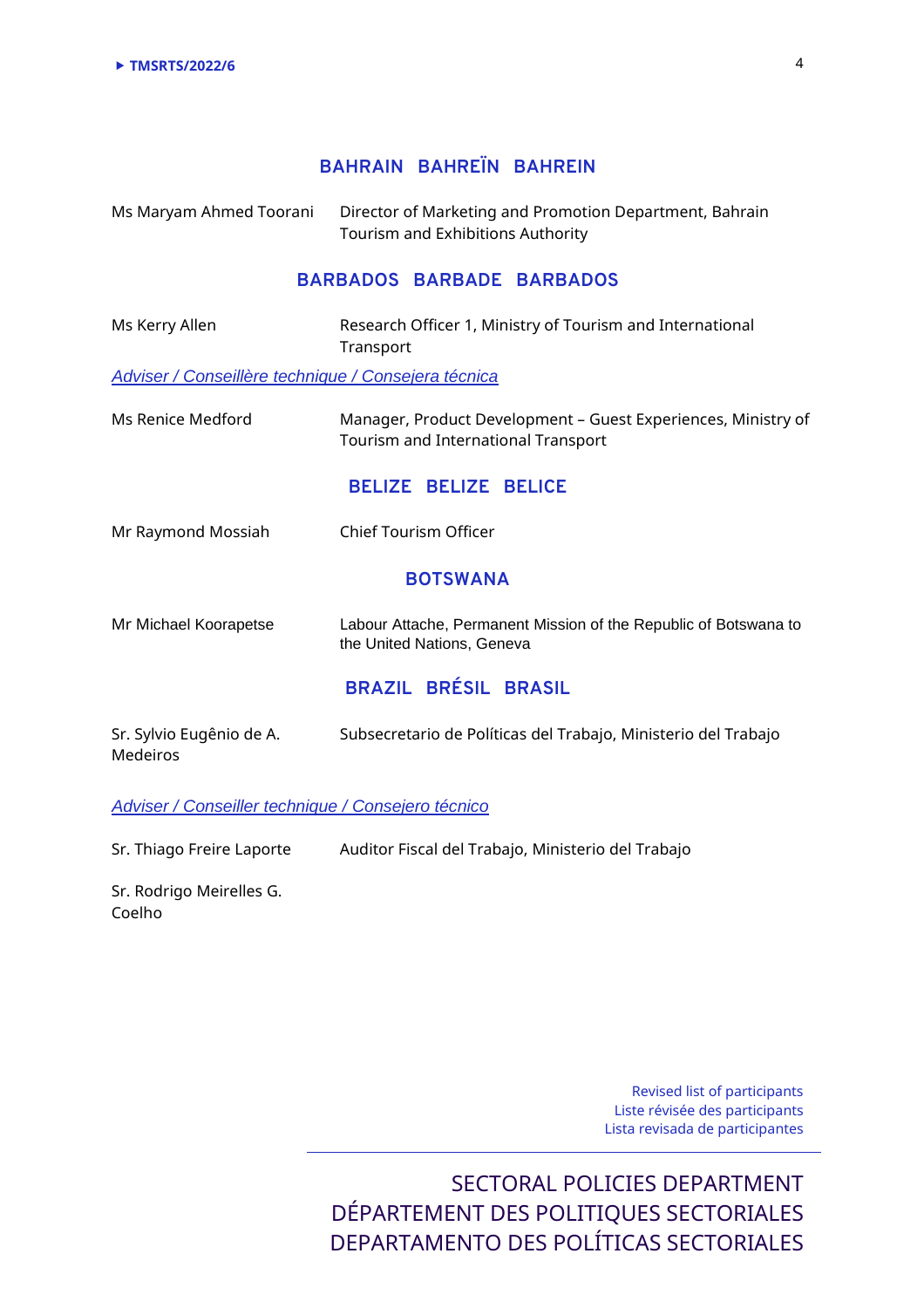## **BAHRAIN BAHREÏN BAHREIN**

Ms Maryam Ahmed Toorani Director of Marketing and Promotion Department, Bahrain Tourism and Exhibitions Authority

### **BARBADOS BARBADE BARBADOS**

| Ms Kerry Allen                                      | Research Officer 1, Ministry of Tourism and International<br>Transport                               |
|-----------------------------------------------------|------------------------------------------------------------------------------------------------------|
| Adviser / Conseillère technique / Consejera técnica |                                                                                                      |
| Ms Renice Medford                                   | Manager, Product Development - Guest Experiences, Ministry of<br>Tourism and International Transport |
|                                                     | <b>BELIZE BELIZE BELICE</b>                                                                          |
| Mr Raymond Mossiah                                  | <b>Chief Tourism Officer</b>                                                                         |
|                                                     | <b>BOTSWANA</b>                                                                                      |
| Mr Michael Koorapetse                               | Labour Attache, Permanent Mission of the Republic of Botswana to<br>the United Nations, Geneva       |
|                                                     | <b>BRAZIL BRÉSIL BRASIL</b>                                                                          |
| Sr. Sylvio Eugênio de A.<br>Medeiros                | Subsecretario de Políticas del Trabajo, Ministerio del Trabajo                                       |

Adviser / Conseiller technique / Consejero técnico

| Sr. Thiago Freire Laporte | Auditor Fiscal del Trabajo, Ministerio del Trabajo |  |
|---------------------------|----------------------------------------------------|--|
|---------------------------|----------------------------------------------------|--|

Sr. Rodrigo Meirelles G. Coelho

> Revised list of participants Liste révisée des participants Lista revisada de participantes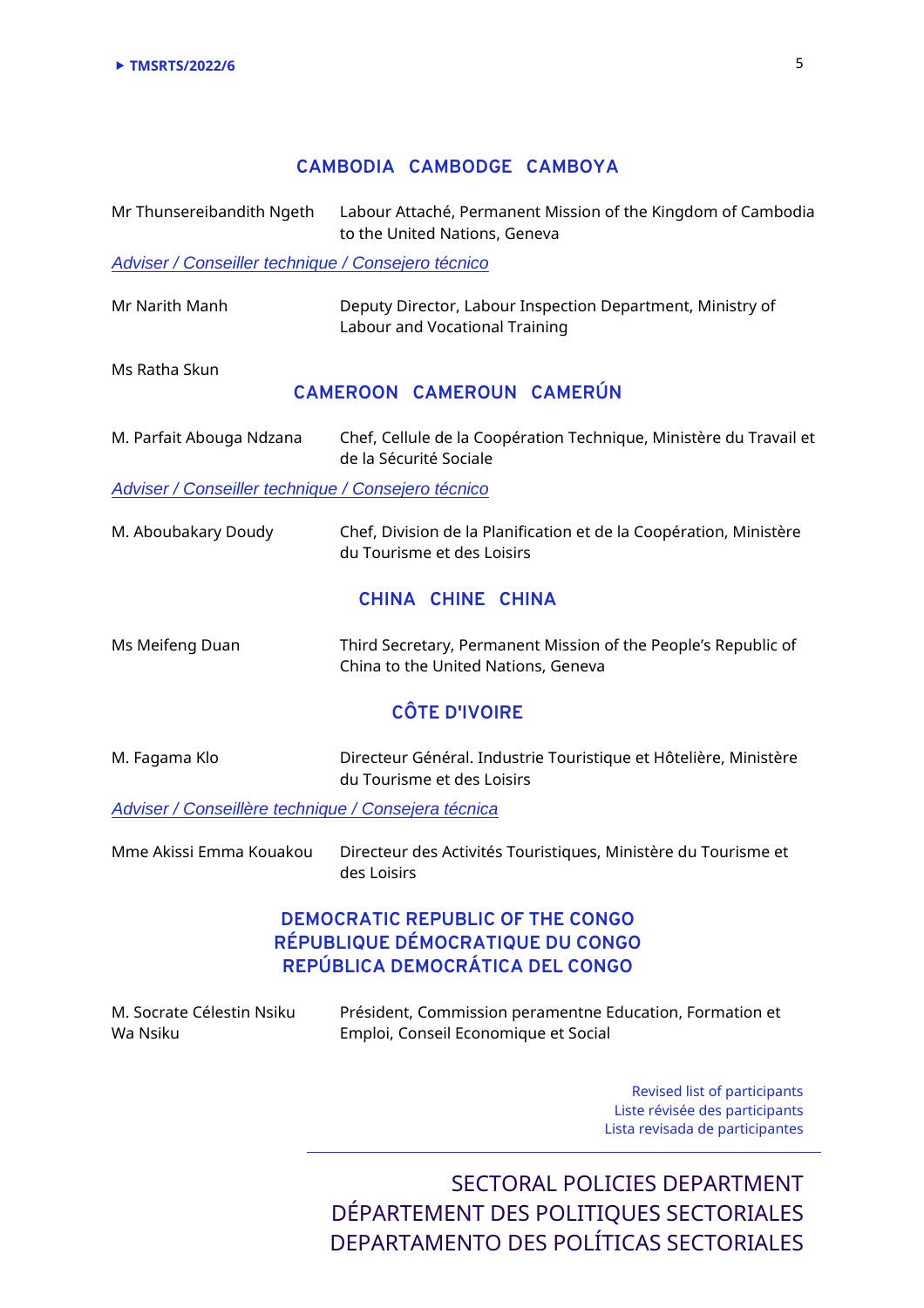### **CAMBODIA CAMBODGE CAMBOYA**

Mr Thunsereibandith Ngeth Labour Attaché, Permanent Mission of the Kingdom of Cambodia to the United Nations, Geneva

Adviser / Conseiller technique / Consejero técnico

Mr Narith Manh Deputy Director, Labour Inspection Department, Ministry of Labour and Vocational Training

Ms Ratha Skun

### **CAMEROON CAMEROUN CAMERÚN**

M. Parfait Abouga Ndzana Chef, Cellule de la Coopération Technique, Ministère du Travail et de la Sécurité Sociale

Adviser / Conseiller technique / Consejero técnico

M. Aboubakary Doudy Chef, Division de la Planification et de la Coopération, Ministère du Tourisme et des Loisirs

## **CHINA CHINE CHINA**

Ms Meifeng Duan Third Secretary, Permanent Mission of the People's Republic of China to the United Nations, Geneva

## **CÔTE D'IVOIRE**

M. Fagama Klo Directeur Général. Industrie Touristique et Hôtelière, Ministère du Tourisme et des Loisirs

Adviser / Conseillère technique / Consejera técnica

Mme Akissi Emma Kouakou Directeur des Activités Touristiques, Ministère du Tourisme et des Loisirs

## **DEMOCRATIC REPUBLIC OF THE CONGO RÉPUBLIQUE DÉMOCRATIQUE DU CONGO REPÚBLICA DEMOCRÁTICA DEL CONGO**

| M. Socrate Célestin Nsiku | Président, Commission peramentne Education, Formation et |
|---------------------------|----------------------------------------------------------|
| Wa Nsiku                  | Emploi, Conseil Economique et Social                     |

Revised list of participants Liste révisée des participants Lista revisada de participantes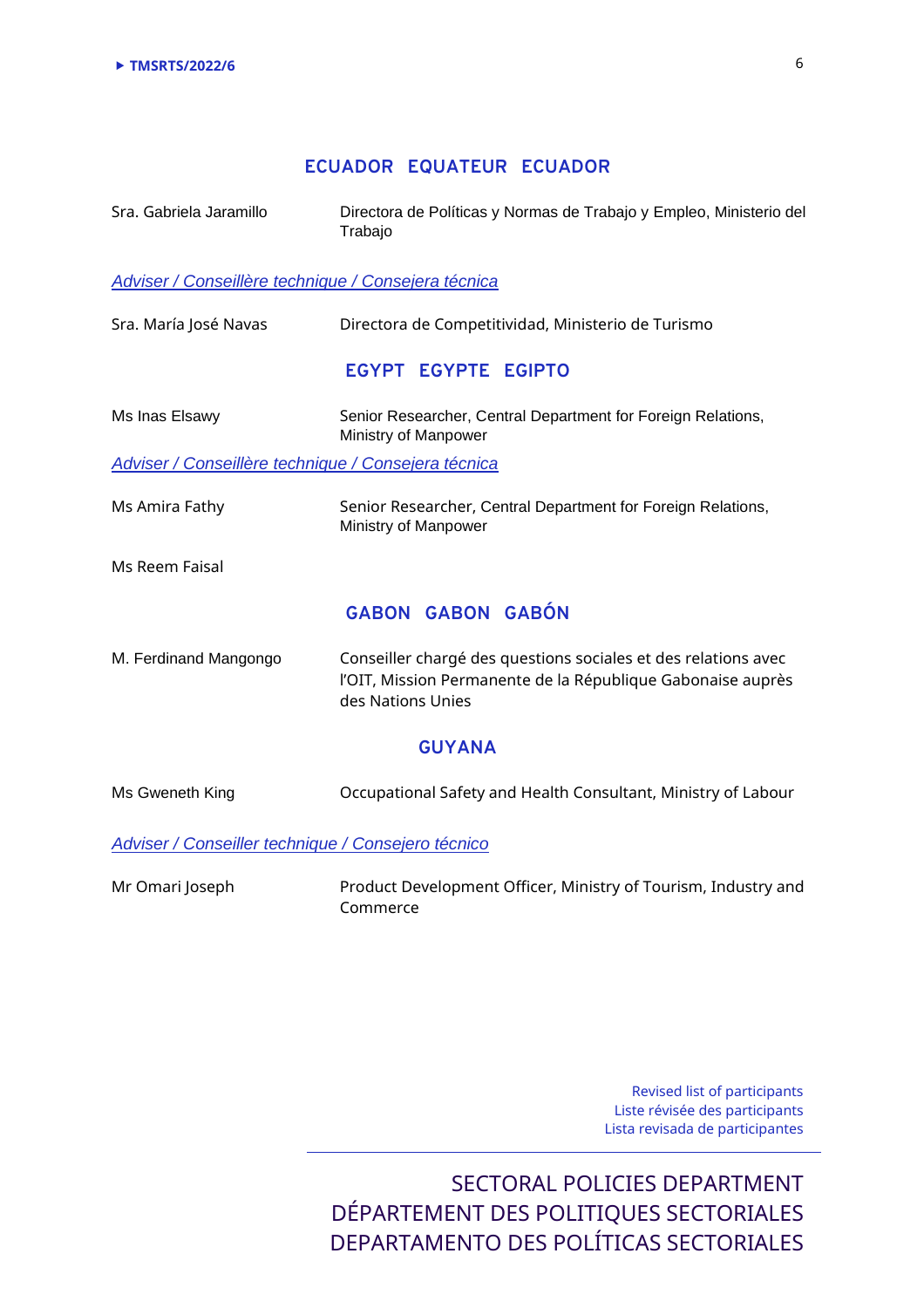### **ECUADOR EQUATEUR ECUADOR**

| Sra. Gabriela Jaramillo | Directora de Políticas y Normas de Trabajo y Empleo, Ministerio del<br>Trabajo |
|-------------------------|--------------------------------------------------------------------------------|
|                         | Adviser / Conseillère technique / Consejera técnica                            |
| Sra. María José Navas   | Directora de Competitividad, Ministerio de Turismo                             |
|                         | <b>EGYPT EGYPTE EGIPTO</b>                                                     |

Ms Inas Elsawy Senior Researcher, Central Department for Foreign Relations, Ministry of Manpower

#### Adviser / Conseillère technique / Consejera técnica

Ms Amira Fathy Senior Researcher, Central Department for Foreign Relations, Ministry of Manpower

Ms Reem Faisal

### **GABON GABON GABÓN**

M. Ferdinand Mangongo Conseiller chargé des questions sociales et des relations avec l'OIT, Mission Permanente de la République Gabonaise auprès des Nations Unies

#### **GUYANA**

Ms Gweneth King **Occupational Safety and Health Consultant, Ministry of Labour** 

Adviser / Conseiller technique / Consejero técnico

Mr Omari Joseph Product Development Officer, Ministry of Tourism, Industry and Commerce

> Revised list of participants Liste révisée des participants Lista revisada de participantes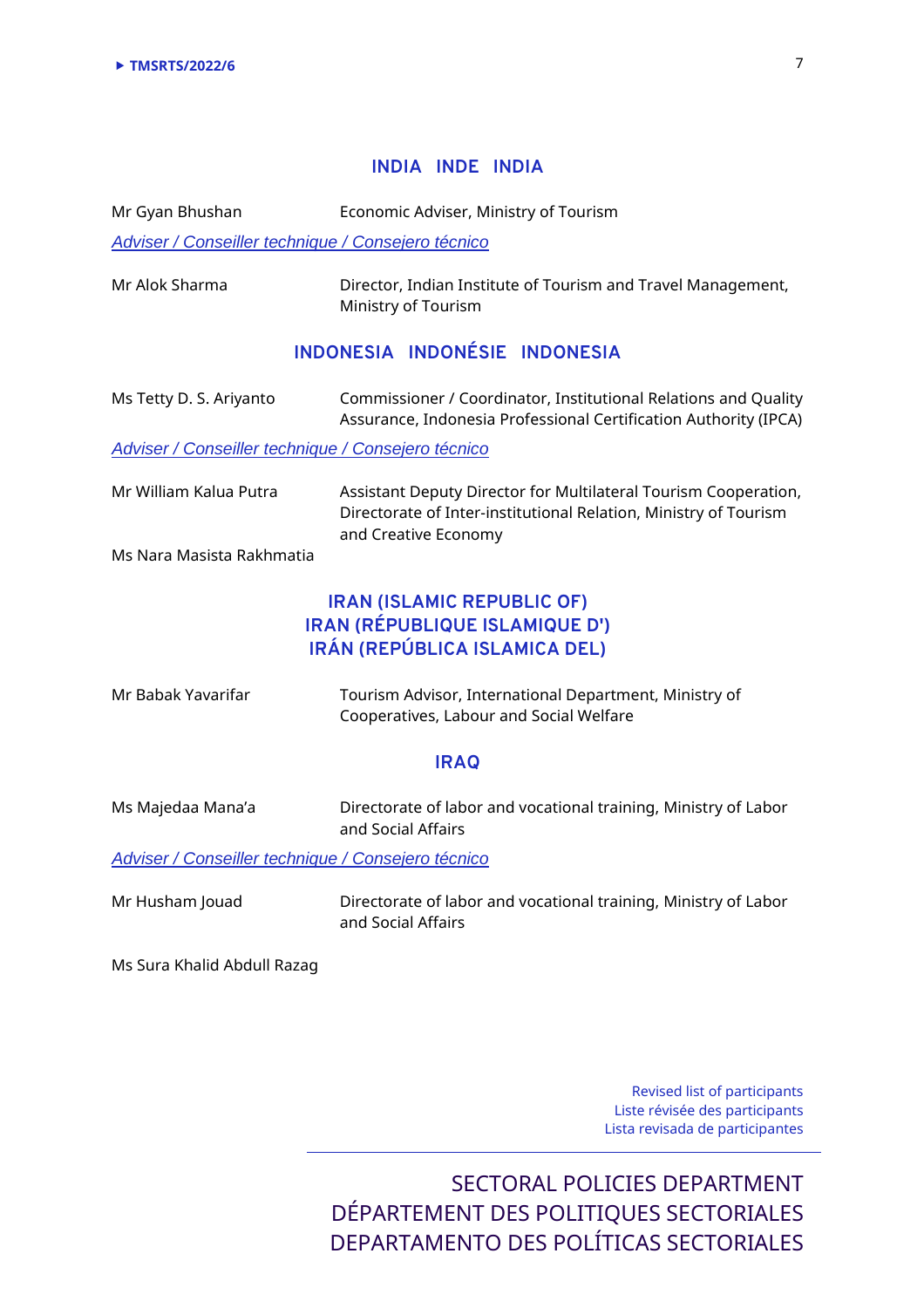#### **INDIA INDE INDIA**

Mr Gyan Bhushan Economic Adviser, Ministry of Tourism

Adviser / Conseiller technique / Consejero técnico

Mr Alok Sharma Director, Indian Institute of Tourism and Travel Management, Ministry of Tourism

### **INDONESIA INDONÉSIE INDONESIA**

Ms Tetty D. S. Ariyanto Commissioner / Coordinator, Institutional Relations and Quality Assurance, Indonesia Professional Certification Authority (IPCA)

Adviser / Conseiller technique / Consejero técnico

| Mr William Kalua Putra | Assistant Deputy Director for Multilateral Tourism Cooperation,  |
|------------------------|------------------------------------------------------------------|
|                        | Directorate of Inter-institutional Relation, Ministry of Tourism |
|                        | and Creative Economy                                             |

Ms Nara Masista Rakhmatia

## **IRAN (ISLAMIC REPUBLIC OF) IRAN (RÉPUBLIQUE ISLAMIQUE D') IRÁN (REPÚBLICA ISLAMICA DEL)**

| Mr Babak Yavarifar | Tourism Advisor, International Department, Ministry of |
|--------------------|--------------------------------------------------------|
|                    | Cooperatives, Labour and Social Welfare                |

#### **IRAQ**

Ms Majedaa Mana'a Directorate of labor and vocational training, Ministry of Labor and Social Affairs

Adviser / Conseiller technique / Consejero técnico

Mr Husham Jouad Directorate of labor and vocational training, Ministry of Labor and Social Affairs

Ms Sura Khalid Abdull Razag

Revised list of participants Liste révisée des participants Lista revisada de participantes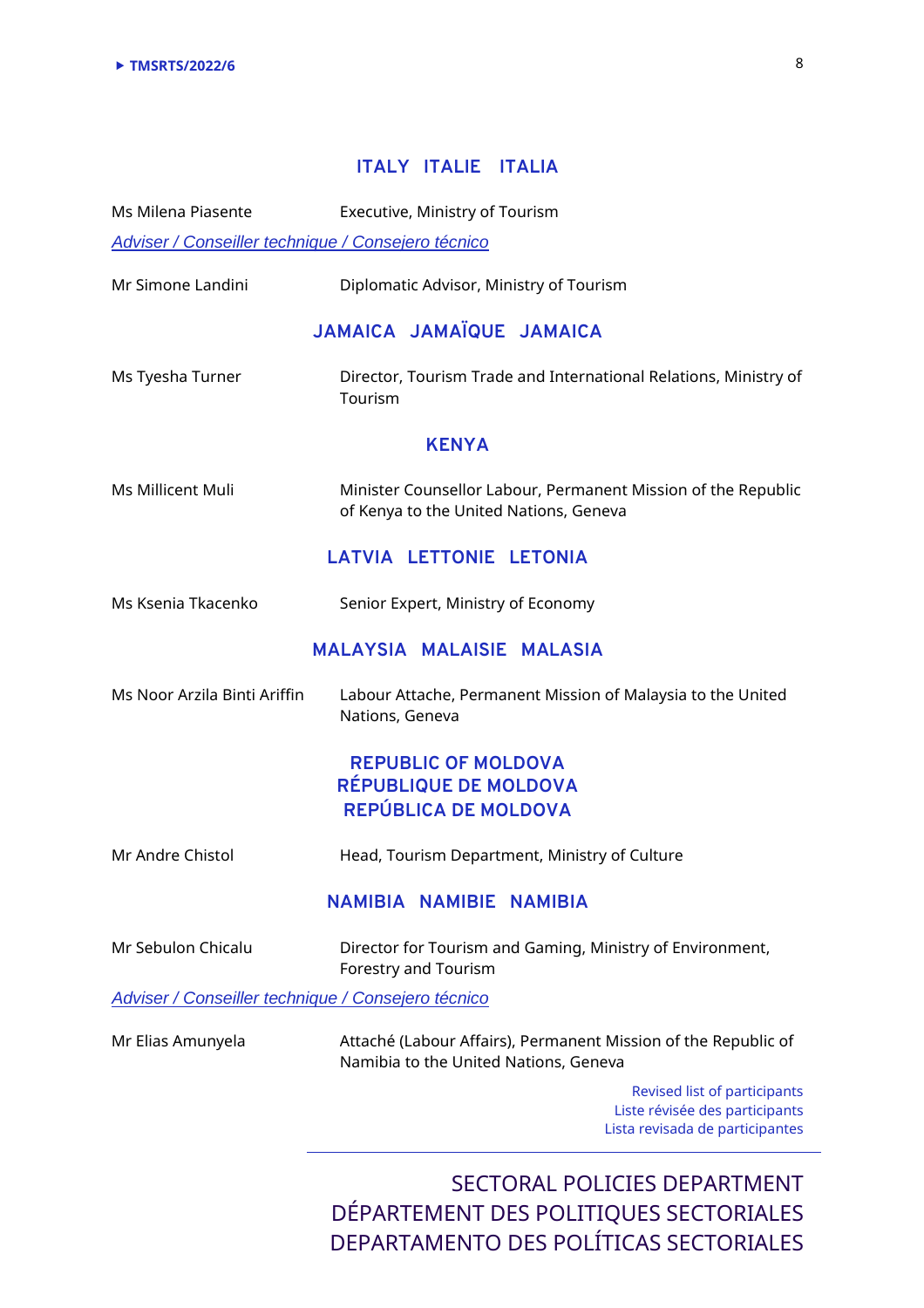### **ITALY ITALIE ITALIA**

Ms Milena Piasente Executive, Ministry of Tourism Adviser / Conseiller technique / Consejero técnico Mr Simone Landini Diplomatic Advisor, Ministry of Tourism **JAMAICA JAMAÏQUE JAMAICA**  Ms Tyesha Turner Director, Tourism Trade and International Relations, Ministry of Tourism **KENYA**  Ms Millicent Muli Minister Counsellor Labour, Permanent Mission of the Republic of Kenya to the United Nations, Geneva **LATVIA LETTONIE LETONIA**  Ms Ksenia Tkacenko Senior Expert, Ministry of Economy **MALAYSIA MALAISIE MALASIA**  Ms Noor Arzila Binti Ariffin Labour Attache, Permanent Mission of Malaysia to the United Nations, Geneva **REPUBLIC OF MOLDOVA RÉPUBLIQUE DE MOLDOVA REPÚBLICA DE MOLDOVA**  Mr Andre Chistol Head, Tourism Department, Ministry of Culture **NAMIBIA NAMIBIE NAMIBIA**  Mr Sebulon Chicalu Director for Tourism and Gaming, Ministry of Environment, Forestry and Tourism Adviser / Conseiller technique / Consejero técnico Mr Elias Amunyela Attaché (Labour Affairs), Permanent Mission of the Republic of Namibia to the United Nations, Geneva

Revised list of participants Liste révisée des participants Lista revisada de participantes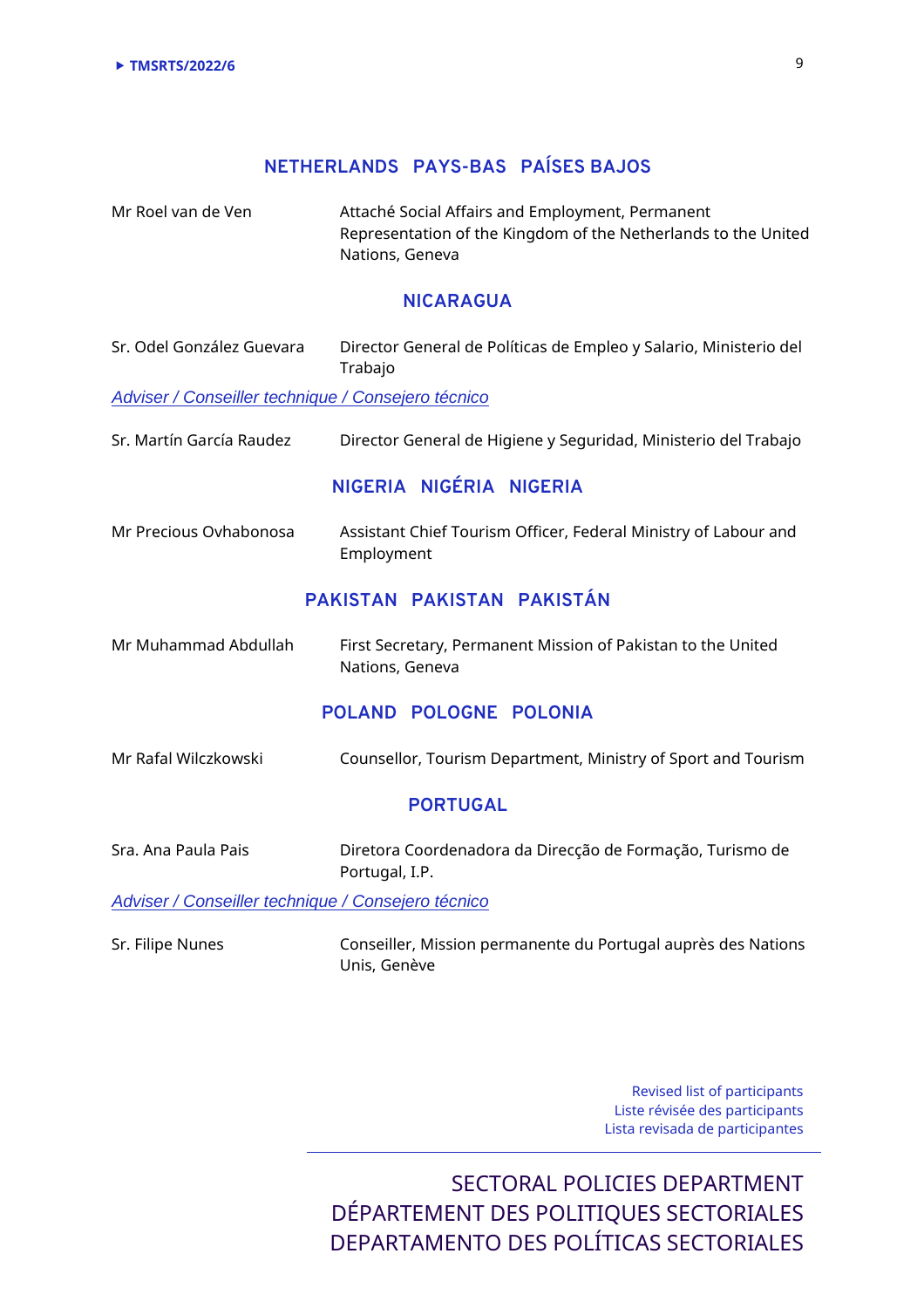## **NETHERLANDS PAYS-BAS PAÍSES BAJOS**

Mr Roel van de Ven **Attaché Social Affairs and Employment**, Permanent Representation of the Kingdom of the Netherlands to the United Nations, Geneva

#### **NICARAGUA**

Sr. Odel González Guevara Director General de Políticas de Empleo y Salario, Ministerio del Trabajo

Adviser / Conseiller technique / Consejero técnico

Sr. Martín García Raudez Director General de Higiene y Seguridad, Ministerio del Trabajo

#### **NIGERIA NIGÉRIA NIGERIA**

Mr Precious Ovhabonosa Assistant Chief Tourism Officer, Federal Ministry of Labour and Employment

### **PAKISTAN PAKISTAN PAKISTÁN**

Mr Muhammad Abdullah First Secretary, Permanent Mission of Pakistan to the United Nations, Geneva

#### **POLAND POLOGNE POLONIA**

Mr Rafal Wilczkowski Counsellor, Tourism Department, Ministry of Sport and Tourism

#### **PORTUGAL**

Sra. Ana Paula Pais Diretora Coordenadora da Direcção de Formação, Turismo de Portugal, I.P.

Adviser / Conseiller technique / Consejero técnico

Sr. Filipe Nunes Conseiller, Mission permanente du Portugal auprès des Nations Unis, Genève

> Revised list of participants Liste révisée des participants Lista revisada de participantes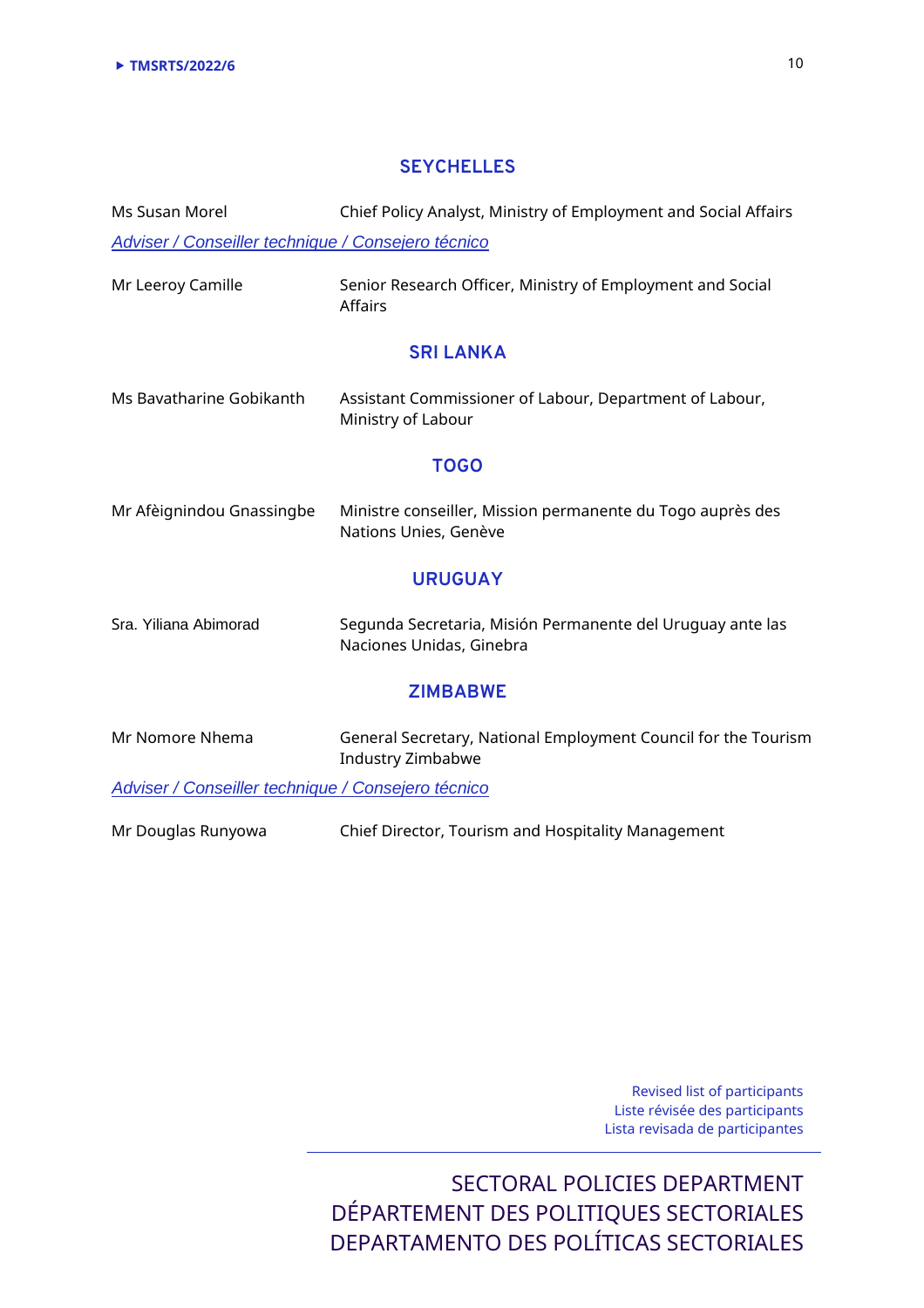### **SEYCHELLES**

Ms Susan Morel Chief Policy Analyst, Ministry of Employment and Social Affairs Adviser / Conseiller technique / Consejero técnico

Mr Leeroy Camille Senior Research Officer, Ministry of Employment and Social Affairs

#### **SRI LANKA**

| Ms Bavatharine Gobikanth | Assistant Commissioner of Labour, Department of Labour, |
|--------------------------|---------------------------------------------------------|
|                          | Ministry of Labour                                      |

#### **TOGO**

| Mr Afèignindou Gnassingbe | Ministre conseiller, Mission permanente du Togo auprès des |
|---------------------------|------------------------------------------------------------|
|                           | Nations Unies, Genève                                      |

#### **URUGUAY**

| Sra. Yiliana Abimorad | Segunda Secretaria, Misión Permanente del Uruguay ante las |
|-----------------------|------------------------------------------------------------|
|                       | Naciones Unidas, Ginebra                                   |

#### **ZIMBABWE**

Mr Nomore Nhema General Secretary, National Employment Council for the Tourism Industry Zimbabwe

Adviser / Conseiller technique / Consejero técnico

Mr Douglas Runyowa Chief Director, Tourism and Hospitality Management

Revised list of participants Liste révisée des participants Lista revisada de participantes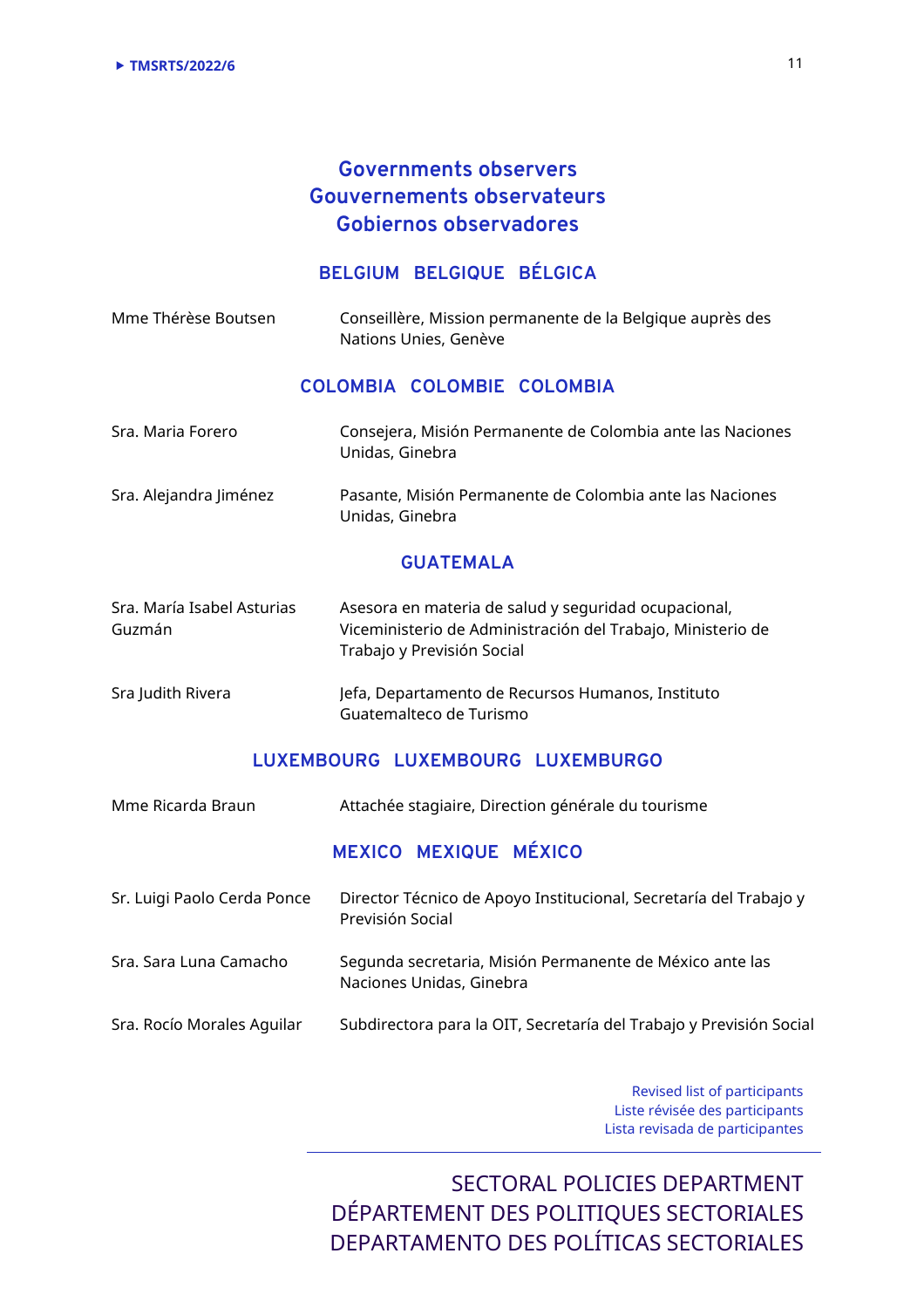## **Governments observers Gouvernements observateurs Gobiernos observadores**

### **BELGIUM BELGIQUE BÉLGICA**

| Mme Thérèse Boutsen | Conseillère, Mission permanente de la Belgique auprès des |
|---------------------|-----------------------------------------------------------|
|                     | Nations Unies, Genève                                     |

### **COLOMBIA COLOMBIE COLOMBIA**

| Sra. Maria Forero | Consejera, Misión Permanente de Colombia ante las Naciones |
|-------------------|------------------------------------------------------------|
|                   | Unidas, Ginebra                                            |

Sra. Alejandra Jiménez Pasante, Misión Permanente de Colombia ante las Naciones Unidas, Ginebra

#### **GUATEMALA**

| Sra. María Isabel Asturias | Asesora en materia de salud y seguridad ocupacional,        |
|----------------------------|-------------------------------------------------------------|
| Guzmán                     | Viceministerio de Administración del Trabajo, Ministerio de |
|                            | Trabajo y Previsión Social                                  |

#### Sra Judith Rivera **Julie 1 State State 1 State 1 State 1 State 1 State 1 State 1 State 1 State 1 State 1 State 1 State 1 State 1 State 1 State 1 State 1 State 1 State 1 State 1 State 1 State 1 State 1 State 1 State 1 State** Guatemalteco de Turismo

### **LUXEMBOURG LUXEMBOURG LUXEMBURGO**

| Mme Ricarda Braun           | Attachée stagiaire, Direction générale du tourisme                                    |
|-----------------------------|---------------------------------------------------------------------------------------|
|                             | MEXICO MEXIQUE MÉXICO                                                                 |
| Sr. Luigi Paolo Cerda Ponce | Director Técnico de Apoyo Institucional, Secretaría del Trabajo y<br>Previsión Social |
| Sra. Sara Luna Camacho      | Segunda secretaria, Misión Permanente de México ante las<br>Naciones Unidas, Ginebra  |
| Sra. Rocío Morales Aguilar  | Subdirectora para la OIT, Secretaría del Trabajo y Previsión Social                   |
|                             |                                                                                       |

Revised list of participants Liste révisée des participants Lista revisada de participantes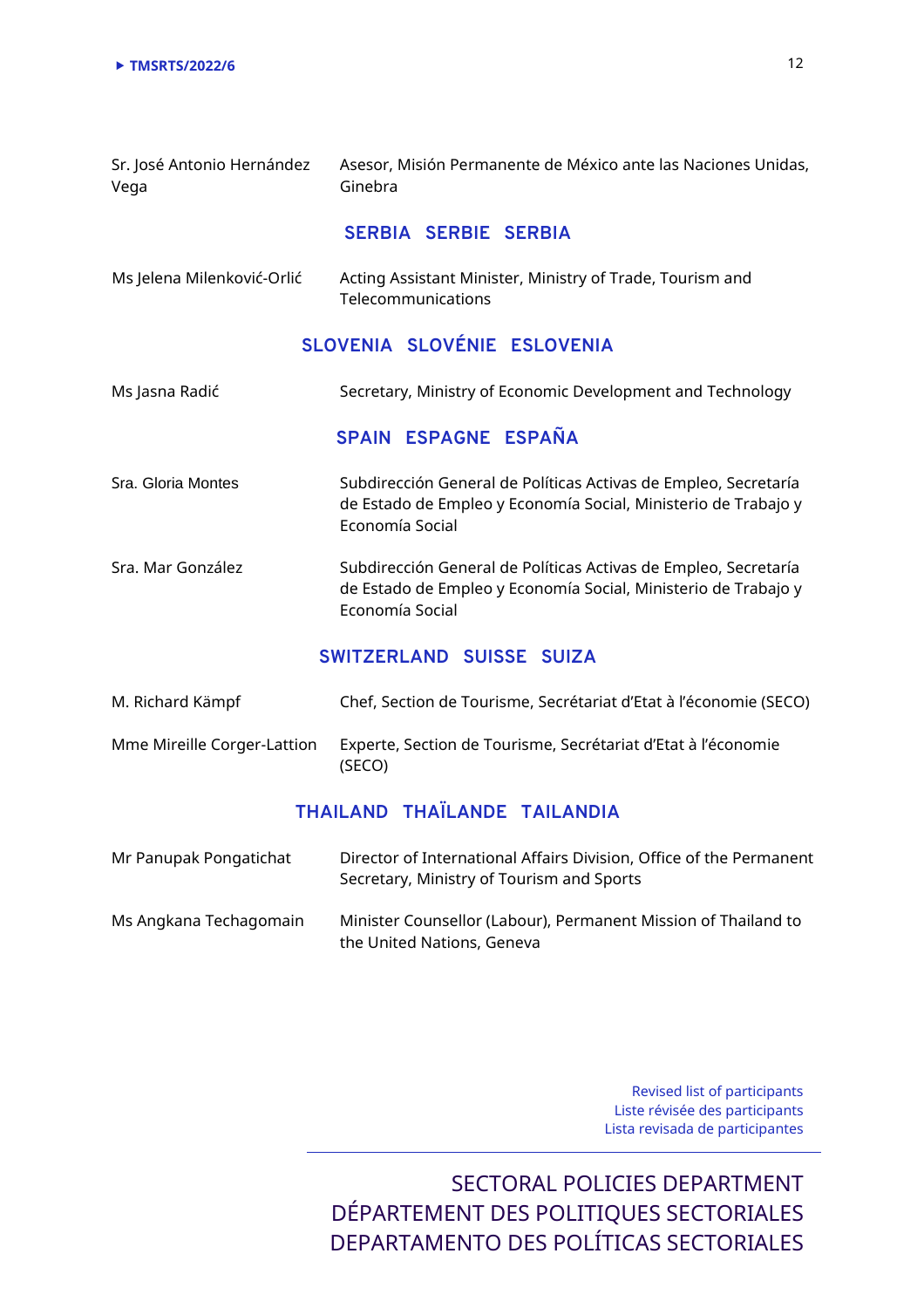| Sr. José Antonio Hernández<br>Vega | Asesor, Misión Permanente de México ante las Naciones Unidas,<br>Ginebra                                                                             |
|------------------------------------|------------------------------------------------------------------------------------------------------------------------------------------------------|
|                                    | SERBIA SERBIE SERBIA                                                                                                                                 |
| Ms Jelena Milenković-Orlić         | Acting Assistant Minister, Ministry of Trade, Tourism and<br>Telecommunications                                                                      |
|                                    | SLOVENIA SLOVÉNIE ESLOVENIA                                                                                                                          |
| Ms Jasna Radić                     | Secretary, Ministry of Economic Development and Technology                                                                                           |
|                                    | SPAIN ESPAGNE ESPAÑA                                                                                                                                 |
| Sra. Gloria Montes                 | Subdirección General de Políticas Activas de Empleo, Secretaría<br>de Estado de Empleo y Economía Social, Ministerio de Trabajo y<br>Economía Social |
| Sra. Mar González                  | Subdirección General de Políticas Activas de Empleo, Secretaría<br>de Estado de Empleo y Economía Social, Ministerio de Trabajo y<br>Economía Social |
|                                    | SWITZERLAND SUISSE SUIZA                                                                                                                             |

| M. Richard Kämpf            | Chef, Section de Tourisme, Secrétariat d'Etat à l'économie (SECO)       |
|-----------------------------|-------------------------------------------------------------------------|
| Mme Mireille Corger-Lattion | Experte, Section de Tourisme, Secrétariat d'Etat à l'économie<br>(SECO) |

# **THAILAND THAÏLANDE TAILANDIA**

| Mr Panupak Pongatichat | Director of International Affairs Division, Office of the Permanent<br>Secretary, Ministry of Tourism and Sports |
|------------------------|------------------------------------------------------------------------------------------------------------------|
| Ms Angkana Techagomain | Minister Counsellor (Labour), Permanent Mission of Thailand to<br>the United Nations, Geneva                     |

Revised list of participants Liste révisée des participants Lista revisada de participantes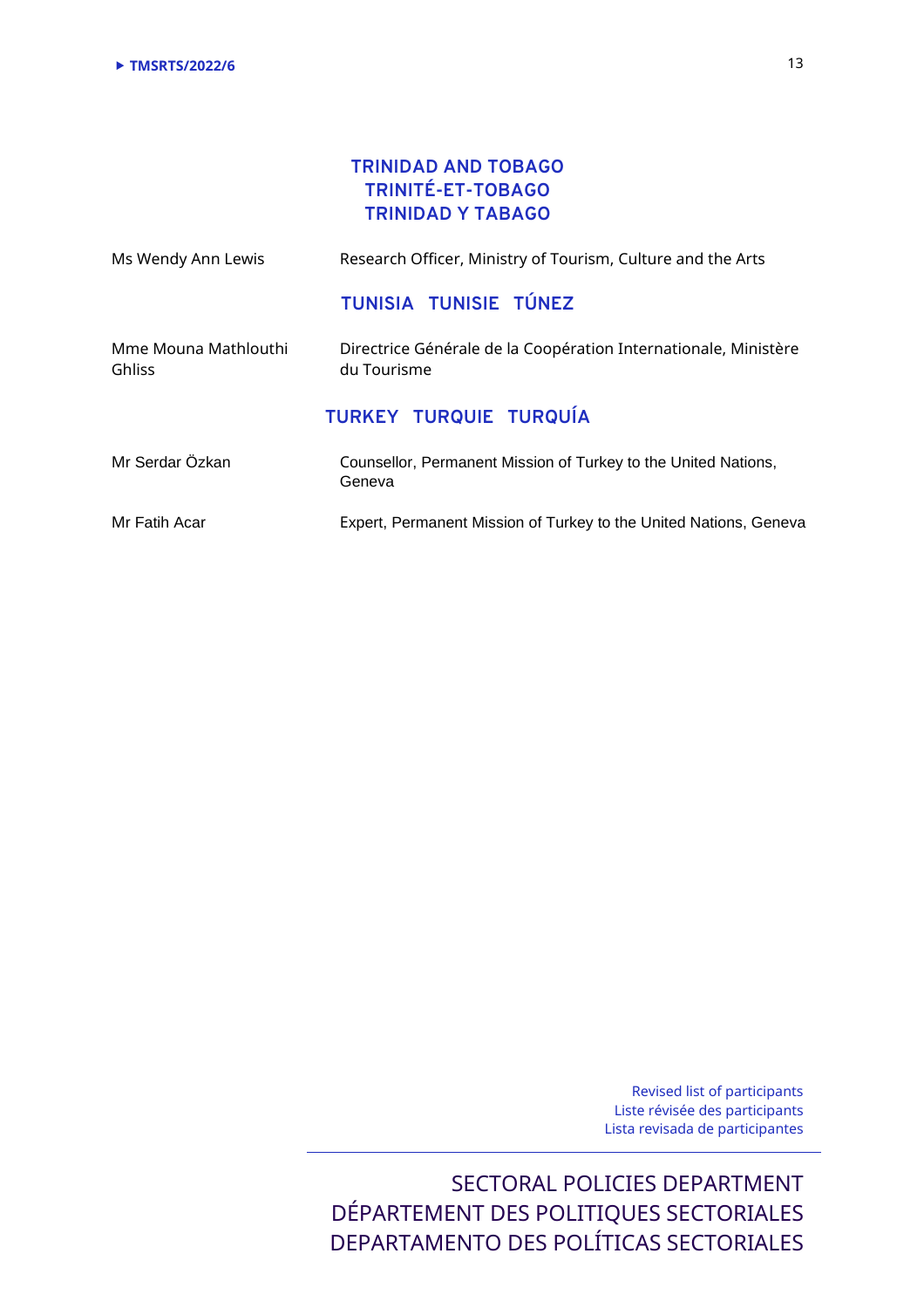## **TRINIDAD AND TOBAGO TRINITÉ-ET-TOBAGO TRINIDAD Y TABAGO**

| Ms Wendy Ann Lewis                    | Research Officer, Ministry of Tourism, Culture and the Arts                    |
|---------------------------------------|--------------------------------------------------------------------------------|
|                                       | TUNISIA TUNISIE TÚNEZ                                                          |
| Mme Mouna Mathlouthi<br><b>Ghliss</b> | Directrice Générale de la Coopération Internationale, Ministère<br>du Tourisme |
|                                       | <b>TURKEY TURQUIE TURQUÍA</b>                                                  |
| Mr Serdar Özkan                       | Counsellor, Permanent Mission of Turkey to the United Nations,<br>Geneva       |
| Mr Fatih Acar                         | Expert, Permanent Mission of Turkey to the United Nations, Geneva              |

Revised list of participants Liste révisée des participants Lista revisada de participantes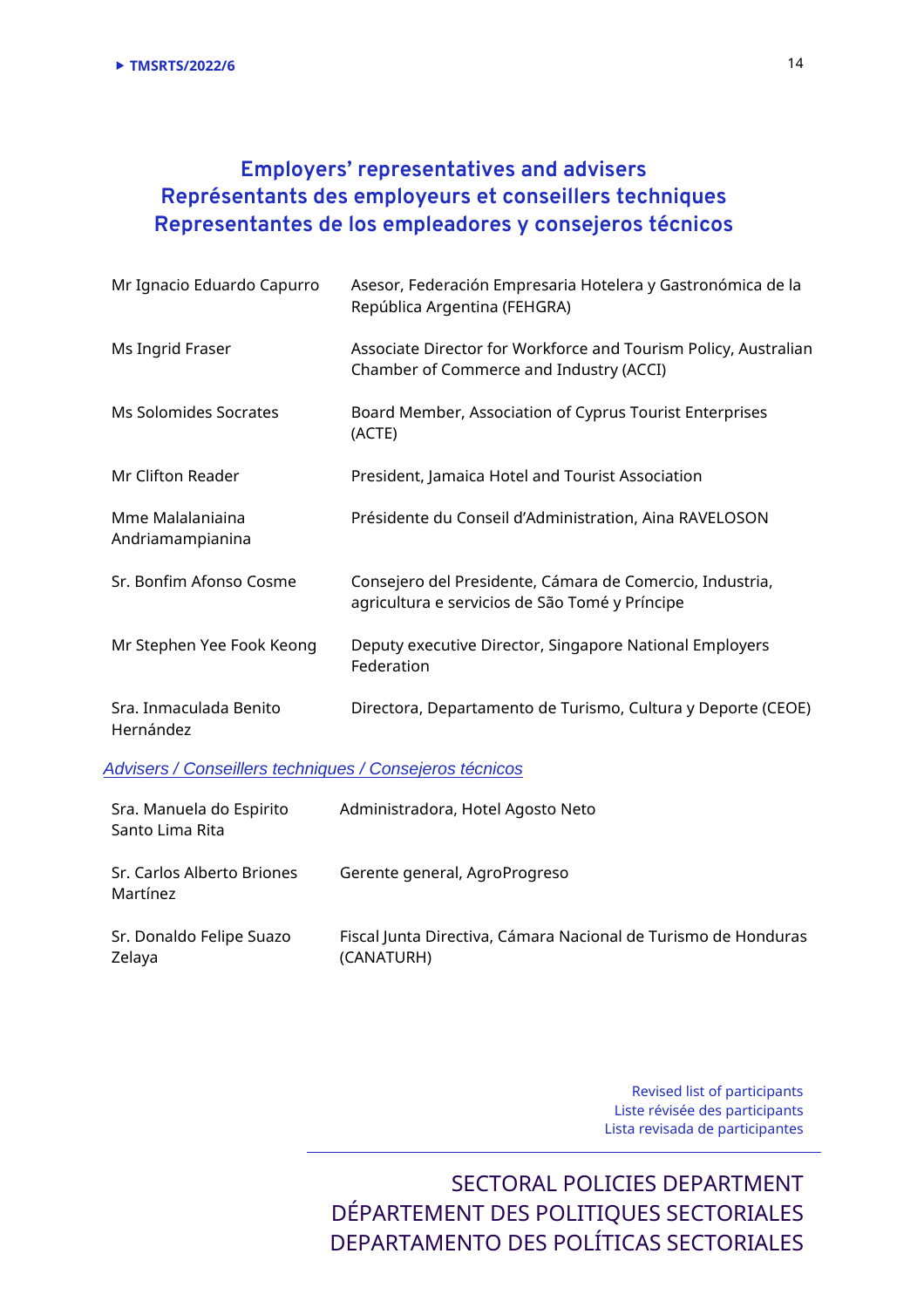# **Employers' representatives and advisers Représentants des employeurs et conseillers techniques Representantes de los empleadores y consejeros técnicos**

| Mr Ignacio Eduardo Capurro           | Asesor, Federación Empresaria Hotelera y Gastronómica de la<br>República Argentina (FEHGRA)                |
|--------------------------------------|------------------------------------------------------------------------------------------------------------|
| Ms Ingrid Fraser                     | Associate Director for Workforce and Tourism Policy, Australian<br>Chamber of Commerce and Industry (ACCI) |
| Ms Solomides Socrates                | Board Member, Association of Cyprus Tourist Enterprises<br>(ACTE)                                          |
| Mr Clifton Reader                    | President, Jamaica Hotel and Tourist Association                                                           |
| Mme Malalaniaina<br>Andriamampianina | Présidente du Conseil d'Administration, Aina RAVELOSON                                                     |
| Sr. Bonfim Afonso Cosme              | Consejero del Presidente, Cámara de Comercio, Industria,<br>agricultura e servicios de São Tomé y Príncipe |
| Mr Stephen Yee Fook Keong            | Deputy executive Director, Singapore National Employers<br>Federation                                      |
| Sra. Inmaculada Benito<br>Hernández  | Directora, Departamento de Turismo, Cultura y Deporte (CEOE)                                               |

Advisers / Conseillers techniques / Consejeros técnicos

| Sra. Manuela do Espirito<br>Santo Lima Rita | Administradora, Hotel Agosto Neto                                            |
|---------------------------------------------|------------------------------------------------------------------------------|
| Sr. Carlos Alberto Briones<br>Martínez      | Gerente general, AgroProgreso                                                |
| Sr. Donaldo Felipe Suazo<br>Zelaya          | Fiscal Junta Directiva, Cámara Nacional de Turismo de Honduras<br>(CANATURH) |

Revised list of participants Liste révisée des participants Lista revisada de participantes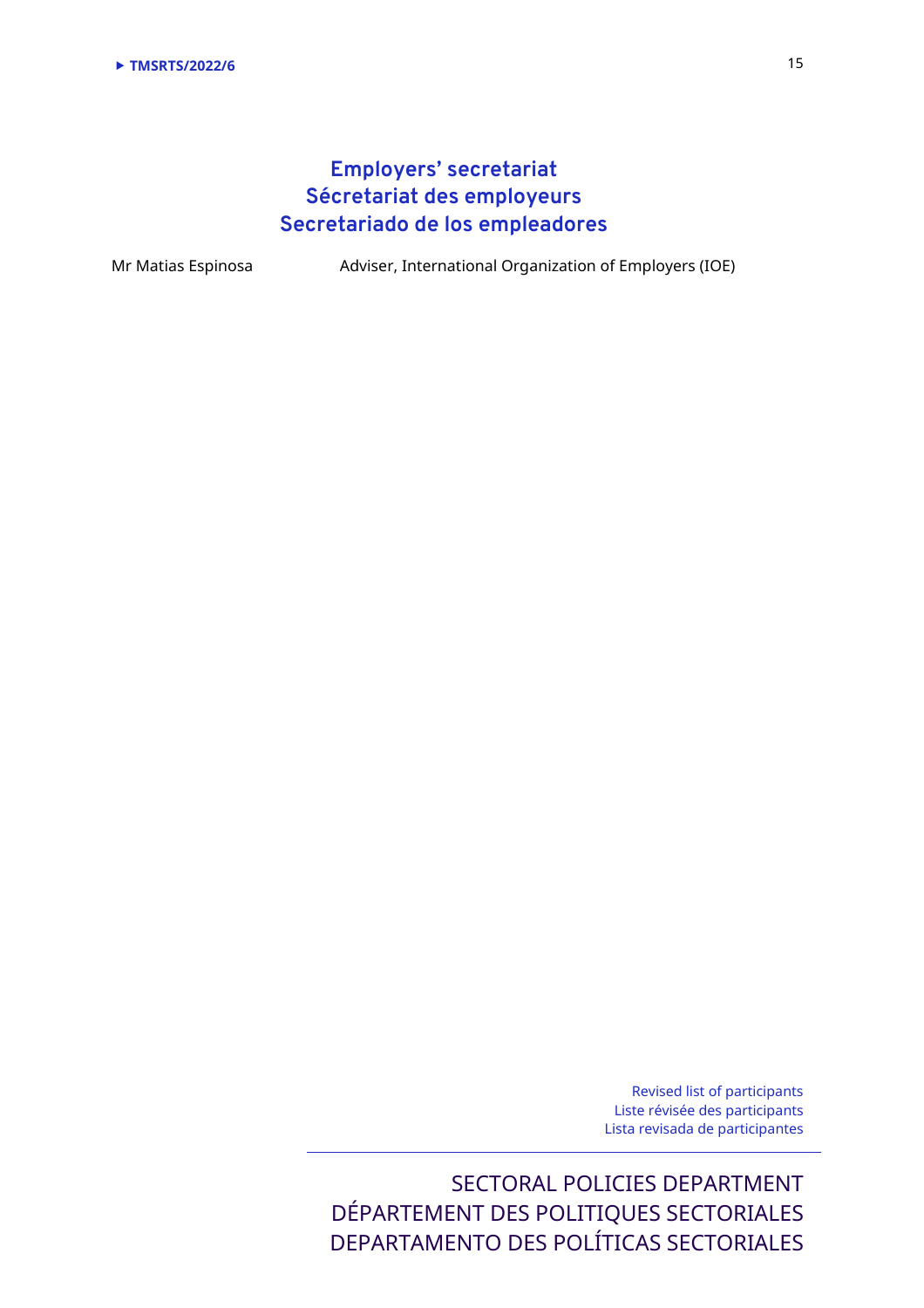# **Employers' secretariat Sécretariat des employeurs Secretariado de los empleadores**

Mr Matias Espinosa Adviser, International Organization of Employers (IOE)

Revised list of participants Liste révisée des participants Lista revisada de participantes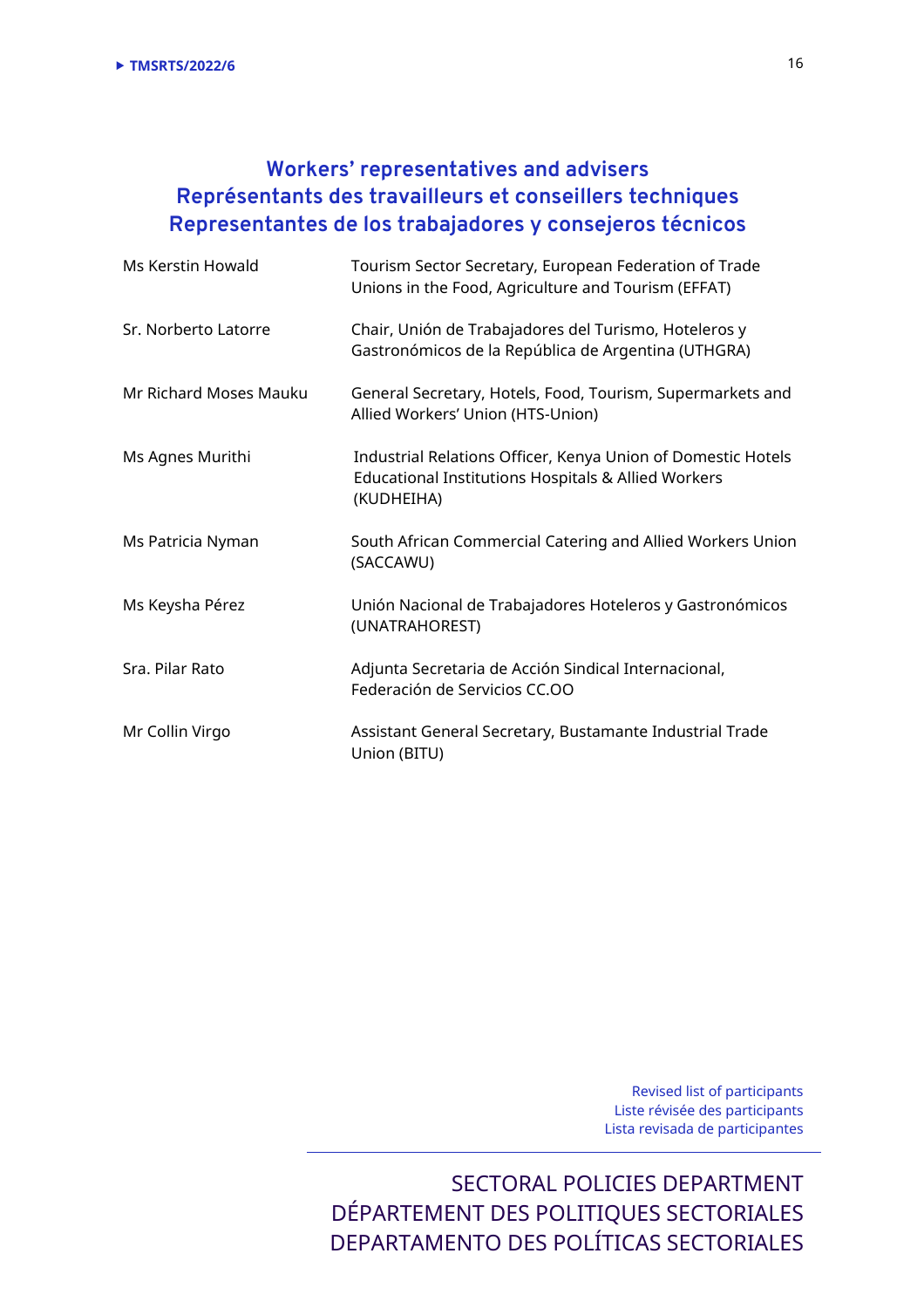# **Workers' representatives and advisers Représentants des travailleurs et conseillers techniques Representantes de los trabajadores y consejeros técnicos**

| Ms Kerstin Howald      | Tourism Sector Secretary, European Federation of Trade<br>Unions in the Food, Agriculture and Tourism (EFFAT)                                |
|------------------------|----------------------------------------------------------------------------------------------------------------------------------------------|
| Sr. Norberto Latorre   | Chair, Unión de Trabajadores del Turismo, Hoteleros y<br>Gastronómicos de la República de Argentina (UTHGRA)                                 |
| Mr Richard Moses Mauku | General Secretary, Hotels, Food, Tourism, Supermarkets and<br>Allied Workers' Union (HTS-Union)                                              |
| Ms Agnes Murithi       | Industrial Relations Officer, Kenya Union of Domestic Hotels<br><b>Educational Institutions Hospitals &amp; Allied Workers</b><br>(KUDHEIHA) |
| Ms Patricia Nyman      | South African Commercial Catering and Allied Workers Union<br>(SACCAWU)                                                                      |
| Ms Keysha Pérez        | Unión Nacional de Trabajadores Hoteleros y Gastronómicos<br>(UNATRAHOREST)                                                                   |
| Sra. Pilar Rato        | Adjunta Secretaria de Acción Sindical Internacional,<br>Federación de Servicios CC.OO                                                        |
| Mr Collin Virgo        | Assistant General Secretary, Bustamante Industrial Trade<br>Union (BITU)                                                                     |

Revised list of participants Liste révisée des participants Lista revisada de participantes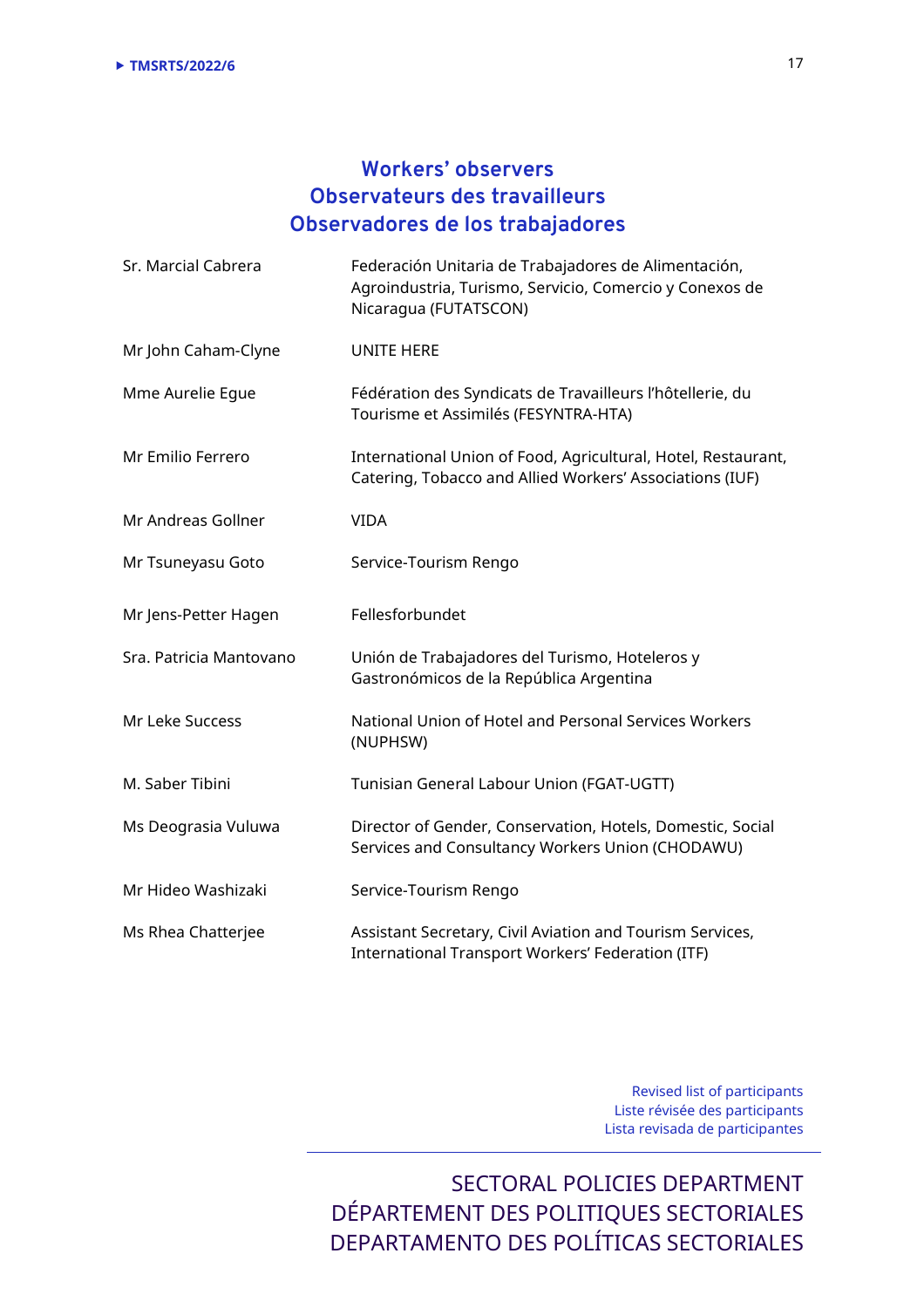# **Workers' observers Observateurs des travailleurs Observadores de los trabajadores**

| Sr. Marcial Cabrera     | Federación Unitaria de Trabajadores de Alimentación,<br>Agroindustria, Turismo, Servicio, Comercio y Conexos de<br>Nicaragua (FUTATSCON) |
|-------------------------|------------------------------------------------------------------------------------------------------------------------------------------|
| Mr John Caham-Clyne     | UNITE HERE                                                                                                                               |
| Mme Aurelie Egue        | Fédération des Syndicats de Travailleurs l'hôtellerie, du<br>Tourisme et Assimilés (FESYNTRA-HTA)                                        |
| Mr Emilio Ferrero       | International Union of Food, Agricultural, Hotel, Restaurant,<br>Catering, Tobacco and Allied Workers' Associations (IUF)                |
| Mr Andreas Gollner      | <b>VIDA</b>                                                                                                                              |
| Mr Tsuneyasu Goto       | Service-Tourism Rengo                                                                                                                    |
| Mr Jens-Petter Hagen    | Fellesforbundet                                                                                                                          |
| Sra. Patricia Mantovano | Unión de Trabajadores del Turismo, Hoteleros y<br>Gastronómicos de la República Argentina                                                |
| Mr Leke Success         | National Union of Hotel and Personal Services Workers<br>(NUPHSW)                                                                        |
| M. Saber Tibini         | Tunisian General Labour Union (FGAT-UGTT)                                                                                                |
| Ms Deograsia Vuluwa     | Director of Gender, Conservation, Hotels, Domestic, Social<br>Services and Consultancy Workers Union (CHODAWU)                           |
| Mr Hideo Washizaki      | Service-Tourism Rengo                                                                                                                    |
| Ms Rhea Chatterjee      | Assistant Secretary, Civil Aviation and Tourism Services,<br>International Transport Workers' Federation (ITF)                           |

Revised list of participants Liste révisée des participants Lista revisada de participantes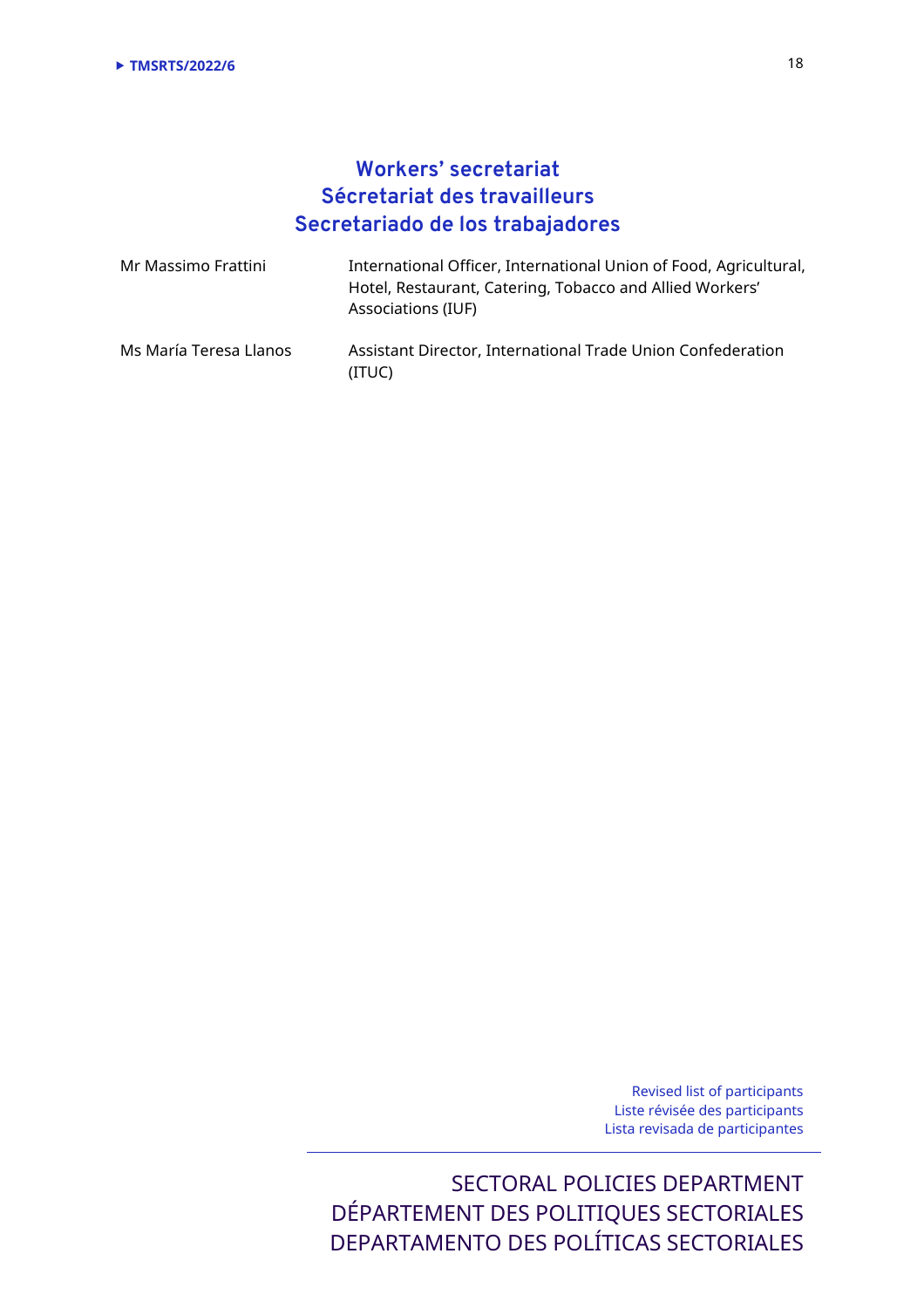# **Workers' secretariat Sécretariat des travailleurs Secretariado de los trabajadores**

| Mr Massimo Frattini    | International Officer, International Union of Food, Agricultural,<br>Hotel, Restaurant, Catering, Tobacco and Allied Workers'<br>Associations (IUF) |
|------------------------|-----------------------------------------------------------------------------------------------------------------------------------------------------|
| Ms María Teresa Llanos | Assistant Director, International Trade Union Confederation<br>(ITUC)                                                                               |

Revised list of participants Liste révisée des participants Lista revisada de participantes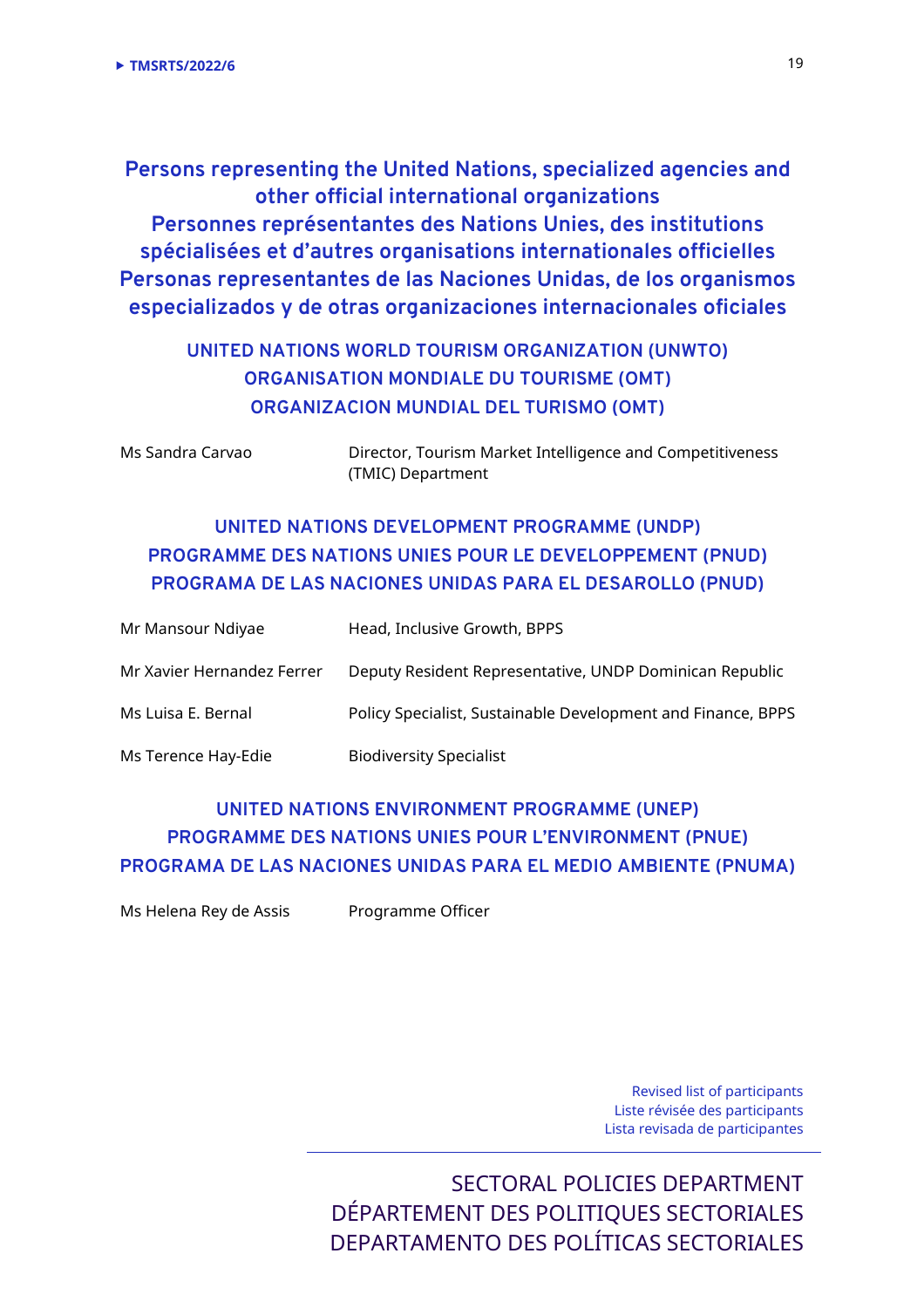**Persons representing the United Nations, specialized agencies and other official international organizations Personnes représentantes des Nations Unies, des institutions spécialisées et d'autres organisations internationales officielles Personas representantes de las Naciones Unidas, de los organismos especializados y de otras organizaciones internacionales oficiales** 

## **UNITED NATIONS WORLD TOURISM ORGANIZATION (UNWTO) ORGANISATION MONDIALE DU TOURISME (OMT) ORGANIZACION MUNDIAL DEL TURISMO (OMT)**

Ms Sandra Carvao Director, Tourism Market Intelligence and Competitiveness (TMIC) Department

## **UNITED NATIONS DEVELOPMENT PROGRAMME (UNDP) PROGRAMME DES NATIONS UNIES POUR LE DEVELOPPEMENT (PNUD) PROGRAMA DE LAS NACIONES UNIDAS PARA EL DESAROLLO (PNUD)**

| Mr Mansour Ndiyae          | Head, Inclusive Growth, BPPS                                 |
|----------------------------|--------------------------------------------------------------|
| Mr Xavier Hernandez Ferrer | Deputy Resident Representative, UNDP Dominican Republic      |
| Ms Luisa E. Bernal         | Policy Specialist, Sustainable Development and Finance, BPPS |
| Ms Terence Hay-Edie        | <b>Biodiversity Specialist</b>                               |

## **UNITED NATIONS ENVIRONMENT PROGRAMME (UNEP) PROGRAMME DES NATIONS UNIES POUR L'ENVIRONMENT (PNUE) PROGRAMA DE LAS NACIONES UNIDAS PARA EL MEDIO AMBIENTE (PNUMA)**

Ms Helena Rey de Assis Programme Officer

Revised list of participants Liste révisée des participants Lista revisada de participantes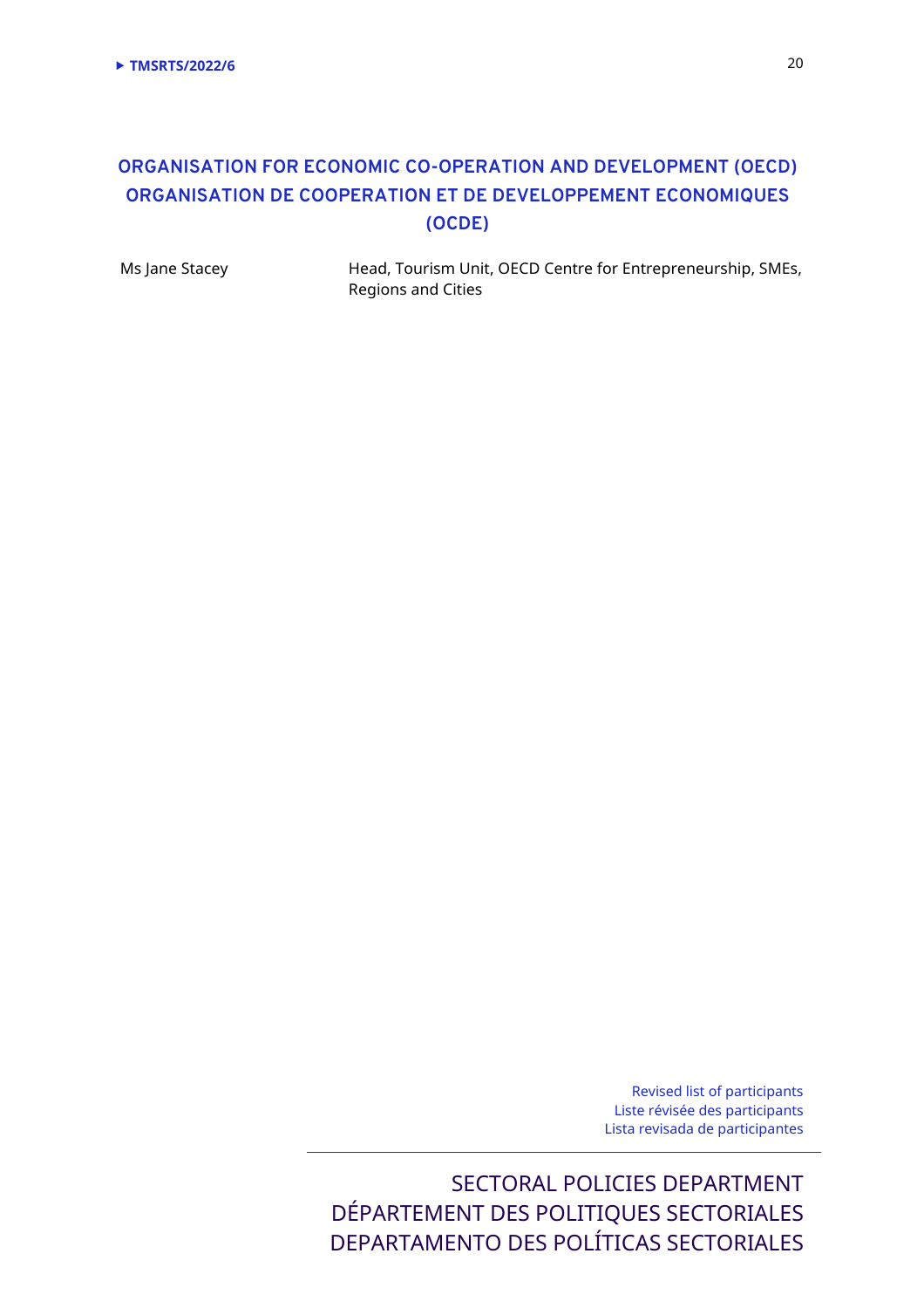## **ORGANISATION FOR ECONOMIC CO-OPERATION AND DEVELOPMENT (OECD) ORGANISATION DE COOPERATION ET DE DEVELOPPEMENT ECONOMIQUES (OCDE)**

Ms Jane Stacey **Head, Tourism Unit, OECD Centre for Entrepreneurship, SMEs,** Regions and Cities

> Revised list of participants Liste révisée des participants Lista revisada de participantes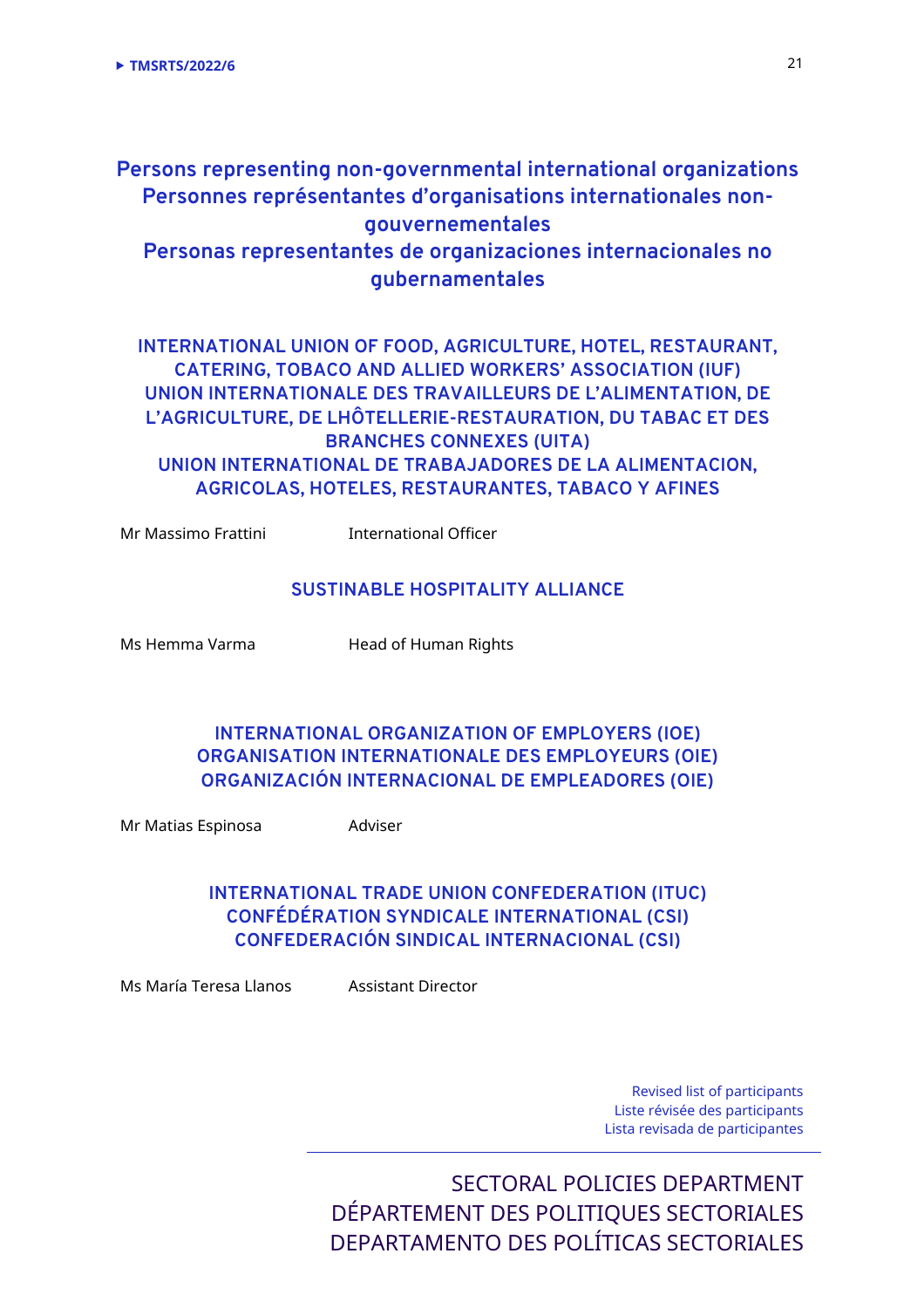## **Persons representing non-governmental international organizations Personnes représentantes d'organisations internationales nongouvernementales Personas representantes de organizaciones internacionales no gubernamentales**

**INTERNATIONAL UNION OF FOOD, AGRICULTURE, HOTEL, RESTAURANT, CATERING, TOBACO AND ALLIED WORKERS' ASSOCIATION (IUF) UNION INTERNATIONALE DES TRAVAILLEURS DE L'ALIMENTATION, DE L'AGRICULTURE, DE LHÔTELLERIE-RESTAURATION, DU TABAC ET DES BRANCHES CONNEXES (UITA) UNION INTERNATIONAL DE TRABAJADORES DE LA ALIMENTACION, AGRICOLAS, HOTELES, RESTAURANTES, TABACO Y AFINES** 

Mr Massimo Frattini **International Officer** 

#### **SUSTINABLE HOSPITALITY ALLIANCE**

Ms Hemma Varma **Head of Human Rights** 

## **INTERNATIONAL ORGANIZATION OF EMPLOYERS (IOE) ORGANISATION INTERNATIONALE DES EMPLOYEURS (OIE) ORGANIZACIÓN INTERNACIONAL DE EMPLEADORES (OIE)**

Mr Matias Espinosa **Adviser** 

## **INTERNATIONAL TRADE UNION CONFEDERATION (ITUC) CONFÉDÉRATION SYNDICALE INTERNATIONAL (CSI) CONFEDERACIÓN SINDICAL INTERNACIONAL (CSI)**

Ms María Teresa Llanos Assistant Director

Revised list of participants Liste révisée des participants Lista revisada de participantes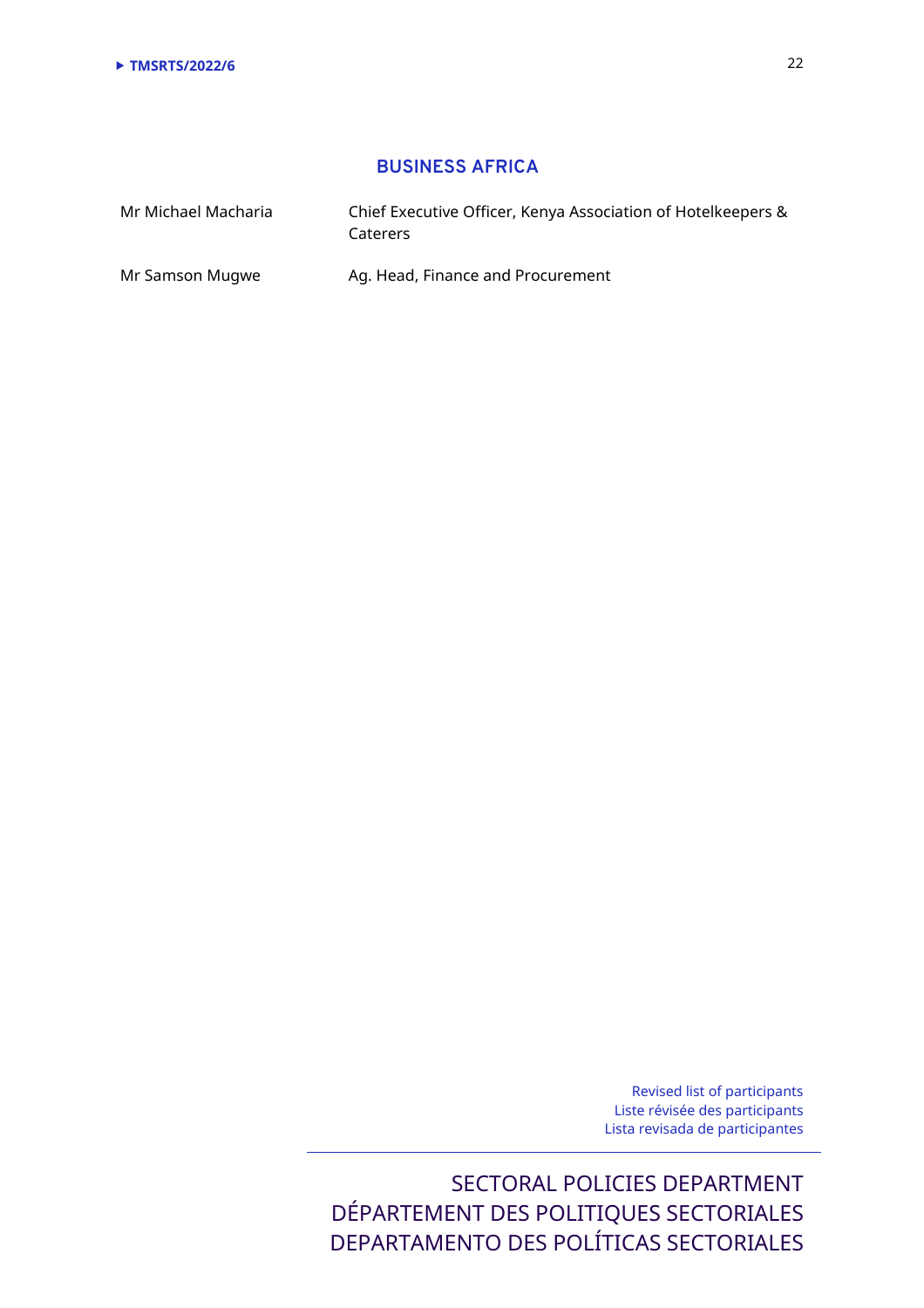## **BUSINESS AFRICA**

| Mr Michael Macharia | Chief Executive Officer, Kenya Association of Hotelkeepers &<br>Caterers |
|---------------------|--------------------------------------------------------------------------|
| Mr Samson Mugwe     | Ag. Head, Finance and Procurement                                        |

Revised list of participants Liste révisée des participants Lista revisada de participantes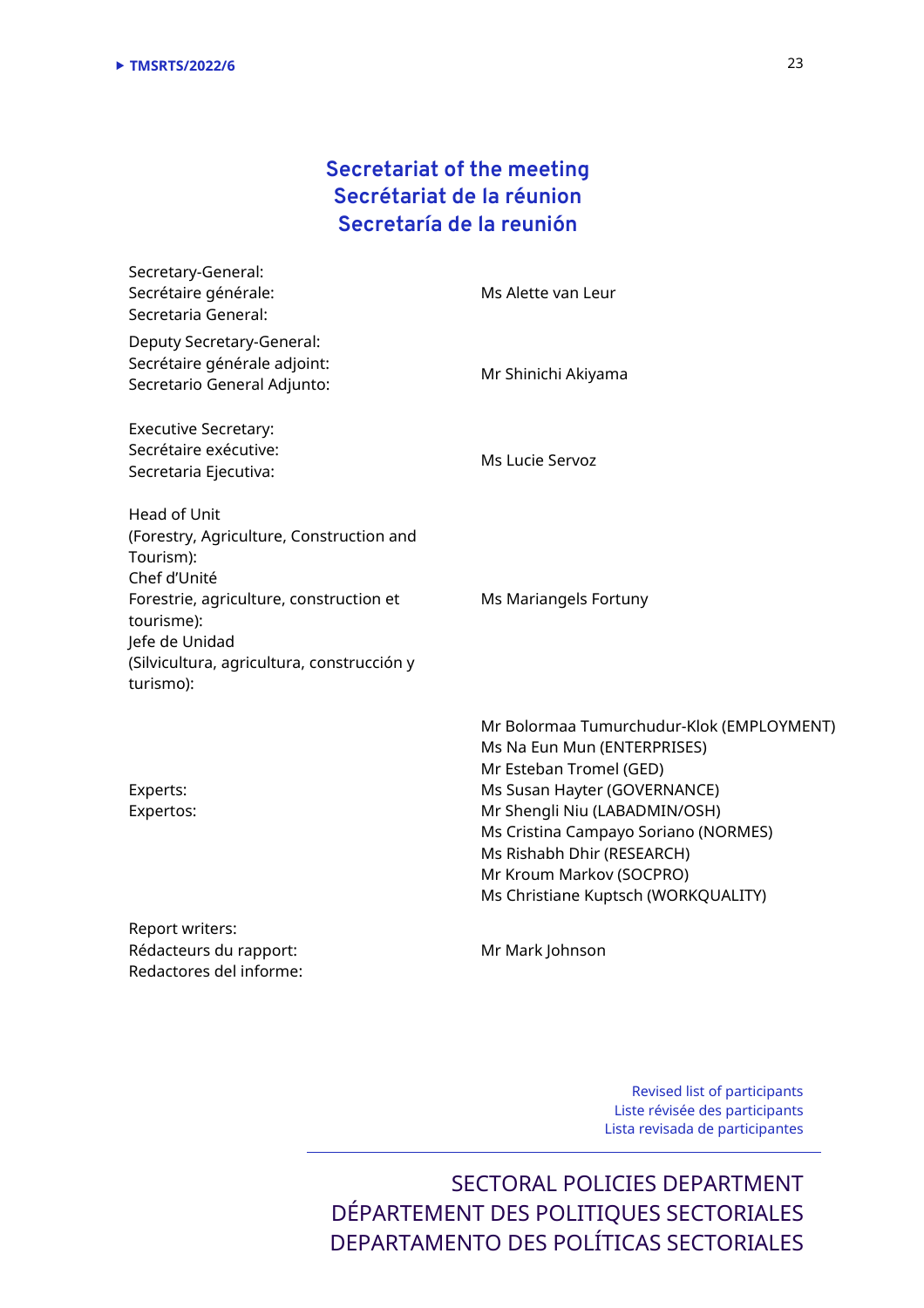# **Secretariat of the meeting Secrétariat de la réunion Secretaría de la reunión**

| Secretary-General:<br>Secrétaire générale:<br>Secretaria General:                                                                                                                                                           | Ms Alette van Leur                                                                                  |
|-----------------------------------------------------------------------------------------------------------------------------------------------------------------------------------------------------------------------------|-----------------------------------------------------------------------------------------------------|
| Deputy Secretary-General:<br>Secrétaire générale adjoint:<br>Secretario General Adjunto:                                                                                                                                    | Mr Shinichi Akiyama                                                                                 |
| <b>Executive Secretary:</b><br>Secrétaire exécutive:<br>Secretaria Ejecutiva:                                                                                                                                               | Ms Lucie Servoz                                                                                     |
| Head of Unit<br>(Forestry, Agriculture, Construction and<br>Tourism):<br>Chef d'Unité<br>Forestrie, agriculture, construction et<br>tourisme):<br>Jefe de Unidad<br>(Silvicultura, agricultura, construcción y<br>turismo): | Ms Mariangels Fortuny                                                                               |
|                                                                                                                                                                                                                             | Mr Bolormaa Tumurchudur-Klok (EMPLOYMENT)<br>Ms Na Eun Mun (ENTERPRISES)<br>Mr Esteban Tromel (GED) |

Experts: Expertos:

Mr Esteban Tromel (GED) Ms Susan Hayter (GOVERNANCE) Mr Shengli Niu (LABADMIN/OSH) Ms Cristina Campayo Soriano (NORMES) Ms Rishabh Dhir (RESEARCH) Mr Kroum Markov (SOCPRO) Ms Christiane Kuptsch (WORKQUALITY)

Report writers: Rédacteurs du rapport: Redactores del informe:

Mr Mark Johnson

Revised list of participants Liste révisée des participants Lista revisada de participantes